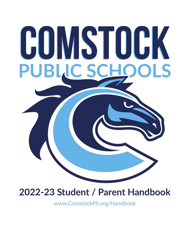# **COMSTOCK COMSTOCK PUBLIC SCHOOLS**

# **2022-23 Student / Parent Handbook**

www.ComstockPS.org/Handbook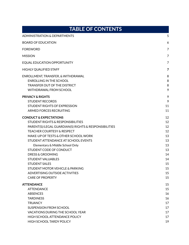| <b>TABLE OF CONTENTS</b>                                                                                                                                                                                                                                                                                                                                                                                                                                                                                            |                                                                                  |  |
|---------------------------------------------------------------------------------------------------------------------------------------------------------------------------------------------------------------------------------------------------------------------------------------------------------------------------------------------------------------------------------------------------------------------------------------------------------------------------------------------------------------------|----------------------------------------------------------------------------------|--|
| <b>ADMINISTRATION &amp; DEPARTMENTS</b>                                                                                                                                                                                                                                                                                                                                                                                                                                                                             | 5                                                                                |  |
| <b>BOARD OF EDUCATION</b>                                                                                                                                                                                                                                                                                                                                                                                                                                                                                           | 6                                                                                |  |
| <b>FOREWORD</b>                                                                                                                                                                                                                                                                                                                                                                                                                                                                                                     | 7                                                                                |  |
| <b>MISSION</b>                                                                                                                                                                                                                                                                                                                                                                                                                                                                                                      | 7                                                                                |  |
| EQUAL EDUCATION OPPORTUNITY                                                                                                                                                                                                                                                                                                                                                                                                                                                                                         | 7                                                                                |  |
| <b>HIGHLY QUALIFIED STAFF</b>                                                                                                                                                                                                                                                                                                                                                                                                                                                                                       | 7                                                                                |  |
| ENROLLMENT, TRANSFER, & WITHDRAWAL<br><b>ENROLLING IN THE SCHOOL</b><br>TRANSFER OUT OF THE DISTRICT<br><b>WITHDRAWAL FROM SCHOOL</b>                                                                                                                                                                                                                                                                                                                                                                               | 8<br>8<br>8<br>9                                                                 |  |
| <b>PRIVACY &amp; RIGHTS</b><br><b>STUDENT RECORDS</b><br><b>STUDENT RIGHTS OF EXPRESSION</b><br>ARMED FORCES RECRUITING                                                                                                                                                                                                                                                                                                                                                                                             | 9<br>9<br>11<br>11                                                               |  |
| <b>CONDUCT &amp; EXPECTATIONS</b><br><b>STUDENT RIGHTS &amp; RESPONSIBILITIES</b><br>PARENT(S)/LEGAL GUARDIAN(S) RIGHTS & RESPONSIBILITIES<br><b>TEACHER COURTESY &amp; RESPECT</b><br>MAKE-UP OF TESTS & OTHER SCHOOL WORK<br>STUDENT ATTENDANCE AT SCHOOL EVENTS<br>Elementary & Middle School Only<br>STUDENT CODE OF CONDUCT<br><b>DRESS &amp; GROOMING</b><br><b>STUDENT VALUABLES</b><br><b>STUDENT SALES</b><br>STUDENT MOTOR VEHICLE & PARKING<br>ADVERTISING OUTSIDE ACTIVITIES<br><b>CARE OF PROPERTY</b> | 12<br>12<br>12<br>12<br>13<br>13<br>13<br>13<br>14<br>14<br>15<br>15<br>15<br>15 |  |
| <b>ATTENDANCE</b><br><b>ATTENDANCE</b><br><b>ABSENCES</b><br><b>TARDINESS</b><br><b>TRUANCY</b><br>SUSPENSION FROM SCHOOL<br>VACATIONS DURING THE SCHOOL YEAR<br>HIGH SCHOOL ATTENDANCE POLICY<br><b>HIGH SCHOOL TARDY POLICY</b>                                                                                                                                                                                                                                                                                   | 15<br>15<br>16<br>16<br>17<br>17<br>17<br>17<br>19                               |  |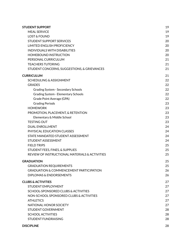| <b>STUDENT SUPPORT</b>                             |    |
|----------------------------------------------------|----|
| <b>MEAL SERVICE</b>                                | 19 |
| <b>LOST &amp; FOUND</b>                            | 19 |
| <b>STUDENT SUPPORT SERVICES</b>                    | 20 |
| <b>LIMITED ENGLISH PROFICIENCY</b>                 | 20 |
| <b>INDIVIDUALS WITH DISABILITIES</b>               | 20 |
| <b>HOMEBOUND INSTRUCTION</b>                       | 20 |
| PERSONAL CURRICULUM                                | 21 |
| <b>TEACHERS TUTORING</b>                           | 21 |
| STUDENT CONCERNS, SUGGESTIONS, & GRIEVANCES        | 21 |
| <b>CURRICULUM</b>                                  | 21 |
| SCHEDULING & ASSIGNMENT                            | 22 |
| <b>GRADES</b>                                      | 22 |
| Grading System - Secondary Schools                 | 22 |
| Grading System - Elementary Schools                | 22 |
| Grade Point Average (GPA)                          | 22 |
| <b>Grading Periods</b>                             | 23 |
| <b>HOMEWORK</b>                                    | 23 |
| PROMOTION, PLACEMENT, & RETENTION                  | 23 |
| Elementary & Middle School                         | 23 |
| <b>TESTING OUT</b>                                 | 23 |
| <b>DUAL ENROLLMENT</b>                             | 24 |
| PHYSICAL EDUCATION CLASSES                         | 24 |
| STATE MANDATED STUDENT ASSESSMENT                  | 24 |
| STUDENT ASSESSMENT                                 | 24 |
| <b>FIELD TRIPS</b>                                 | 25 |
| STUDENT FEES, FINES, & SUPPLIES                    | 25 |
| REVIEW OF INSTRUCTIONAL MATERIALS & ACTIVITIES     | 25 |
| <b>GRADUATION</b>                                  | 25 |
| <b>GRADUATION REQUIREMENTS</b>                     | 25 |
| <b>GRADUATION &amp; COMMENCEMENT PARTICIPATION</b> | 26 |
| <b>DIPLOMAS &amp; ENDORSEMENTS</b>                 | 26 |
| <b>CLUBS &amp; ACTIVITIES</b>                      | 27 |
| STUDENT EMPLOYMENT                                 | 27 |
| SCHOOL-SPONSORED CLUBS & ACTIVITIES                | 27 |
| NON-SCHOOL SPONSORED CLUBS & ACTIVITIES            | 27 |
| <b>ATHLETICS</b>                                   | 27 |
| NATIONAL HONOR SOCIETY                             | 27 |
| STUDENT GOVERNMENT                                 | 28 |
| <b>SCHOOL ACTIVITIES</b>                           | 28 |
| <b>STUDENT FUNDRAISING</b>                         | 28 |
| <b>DISCIPLINE</b>                                  | 28 |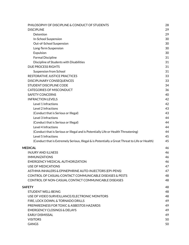| PHILOSOPHY OF DISCIPLINE & CONDUCT OF STUDENTS                                                 | 28 |
|------------------------------------------------------------------------------------------------|----|
| <b>DISCIPLINE</b>                                                                              | 29 |
| Detention                                                                                      | 29 |
| In-School Suspension                                                                           | 30 |
| Out-of-School Suspension                                                                       | 30 |
| Long-Term Suspension                                                                           | 30 |
| Expulsion                                                                                      | 30 |
| <b>Formal Discipline</b>                                                                       | 31 |
| Discipline of Students with Disabilities                                                       | 31 |
| <b>DUE PROCESS RIGHTS</b>                                                                      | 31 |
| <b>Suspension from School</b>                                                                  | 31 |
| RESTORATIVE JUSTICE PRACTICES                                                                  | 33 |
| <b>DISCIPLINARY CONSEQUENCES</b>                                                               | 33 |
| <b>STUDENT DISCIPLINE CODE</b>                                                                 | 34 |
| <b>CATEGORIES OF MISCONDUCT</b>                                                                | 36 |
| <b>SAFETY CONCERNS</b>                                                                         | 40 |
| <b>INFRACTION LEVELS</b>                                                                       | 42 |
| Level 1 Infractions                                                                            | 42 |
| Level 2 Infractions                                                                            | 43 |
| (Conduct that is Serious or Illegal)                                                           | 43 |
| Level 3 Infractions                                                                            | 44 |
| (Conduct that is Serious or Illegal)                                                           | 44 |
| Level 4 Infractions                                                                            | 44 |
| (Conduct that is Serious or Illegal and is Potentially Life or Health Threatening)             | 44 |
| Level 5 Infractions                                                                            | 45 |
| (Conduct that is Extremely Serious, Illegal & is Potentially a Great Threat to Life or Health) | 45 |
| <b>MEDICAL</b>                                                                                 | 46 |
| <b>INJURY AND ILLNESS</b>                                                                      | 46 |
| <b>IMMUNIZATIONS</b>                                                                           | 46 |
| <b>EMERGENCY MEDICAL AUTHORIZATION</b>                                                         | 46 |
| USE OF MEDICATIONS                                                                             | 47 |
| ASTHMA INHALERS & EPINEPHRINE AUTO-INJECTORS (EPI-PENS)                                        | 47 |
| CONTROL OF CASUAL-CONTACT COMMUNICABLE DISEASES & PESTS                                        | 48 |
| CONTROL OF NON-CASUAL CONTACT COMMUNICABLE DISEASES                                            | 48 |
| SAFETY                                                                                         | 48 |
| <b>STUDENT WELL-BEING</b>                                                                      | 48 |
| USE OF VIDEO SURVEILLANCE/ELECTRONIC MONITORS                                                  | 48 |
| FIRE, LOCK DOWN, & TORNADO DRILLS                                                              | 49 |
| PREPAREDNESS FOR TOXIC & ASBESTOS HAZARDS                                                      | 49 |
| <b>EMERGENCY CLOSINGS &amp; DELAYS</b>                                                         | 49 |
| <b>EARLY DISMISSAL</b>                                                                         | 49 |
| <b>VISITORS</b>                                                                                | 50 |
| <b>GANGS</b>                                                                                   | 50 |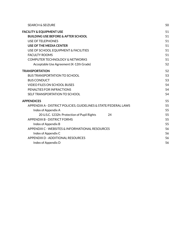| <b>SEARCH &amp; SEIZURE</b>                                     | 50 |
|-----------------------------------------------------------------|----|
| <b>FACILITY &amp; EQUIPMENT USE</b>                             | 51 |
| <b>BUILDING USE BEFORE &amp; AFTER SCHOOL</b>                   | 51 |
| USE OF TELEPHONES                                               | 51 |
| USE OF THE MEDIA CENTER                                         | 51 |
| USE OF SCHOOL EQUIPMENT & FACILITIES                            | 51 |
| <b>FACULTY ROOMS</b>                                            | 51 |
| COMPUTER TECHNOLOGY & NETWORKS                                  | 51 |
| Acceptable Use Agreement (K-12th Grade)                         | 52 |
| <b>TRANSPORTATION</b>                                           | 52 |
| <b>BUS TRANSPORTATION TO SCHOOL</b>                             | 53 |
| <b>BUS CONDUCT</b>                                              | 53 |
| <b>VIDEO FILES ON SCHOOL BUSES</b>                              | 54 |
| PENALTIES FOR INFRACTIONS                                       | 54 |
| SELF TRANSPORTATION TO SCHOOL                                   | 54 |
| <b>APPENDICES</b>                                               | 55 |
| APPENDIX A - DISTRICT POLICIES, GUIDELINES & STATE/FEDERAL LAWS | 55 |
| Index of Appendix A                                             | 55 |
| 24<br>20 U.S.C. 1232h: Protection of Pupil Rights               | 55 |
| APPENDIX B - DISTRICT FORMS                                     | 55 |
| Index of Appendix B                                             | 55 |
| APPENDIX C - WEBSITES & INFORMATIONAL RESOURCES                 | 56 |
| Index of Appendix C                                             | 56 |
| APPENDIX D - ADDITIONAL RESOURCES                               | 56 |
| Index of Appendix D                                             | 56 |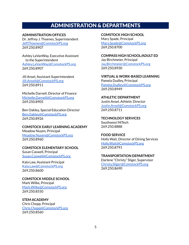# ADMINISTRATION & DEPARTMENTS

#### <span id="page-5-0"></span>**ADMINISTRATION OFFICES**

Dr. Jeffrey J. Thoenes, Superintendent [Jeff.Thoenes@ComstockPS.org](mailto:jeff.thoenes@comstockps.org) 269.250.8907

Ashley LaVanWay, Executive Assistant to the Superintendent [Ashley.LaVanWay@ComstockPS.org](mailto:ashley.lavanway@comstockps.org) 269.250.8907

Jill Ansel, Assistant Superintendent [Jill.Ansell@ComstockPS.org](mailto:jill.ansell@comstockps.org) 269.250.8911

Michelle Darnell, Director of Finance [Michelle.Darnell@ComstockPS.org](mailto:michelle.darnell@comstockps.org) 269.250.8905

Ben Oakley, Special Education Director [Ben.Oakley@ComstockPS.org](mailto:Ben.Oakley@ComstockPS.org) 269.250.8926

#### **COMSTOCK EARLY LEARNING ACADEMY**

Meadow Nuyen, Principal [Meadow.Nuyen@ComstockPS.org](mailto:Meadow.Nuyen@ComstockPS.org) 269.250.8960

#### **COMSTOCK ELEMENTARY SCHOOL**

Susan Caswell, Principal [Susan.Caswell@ComstockPS.org](mailto:susan.caswell@comstockps.org)

Kala Law, Assistant Principal [Kala.Law@ComstockPS.org](mailto:Kala.Law@ComstockPS.org) 269.250.8600

**COMSTOCK MIDDLE SCHOOL** Mark Wilke, Principal [Mark.Wilke@ComstockPS.org](mailto:mark.wilke@comstockps.org) 269.250.8550

**STEM ACADEMY** Chris Chopp, Principal [Chris.Chopp@ComstockPS.org](mailto:chris.chopp@comstockps.org) 269.250.8560

**COMSTOCK HIGH SCHOOL** Mary Spade, Principal [Mary.Spade@ComstockPS.org](mailto:Mary.Spade@ComstockPS.org) 269.250.8700

**COMPASS HIGH SCHOOL/ADULT ED** Jay Birchmeier, Principal [Jay.Birchmeier@ComstockPS.org](mailto:jay.birchmeier@comstockps.org) 269.250.8930

**VIRTUAL & WORK-BASED LEARNING** Pamela Dudley, Principal [Pamela.Dudley@ComstockPS.org](mailto:pamela.dudley@comstockps.org) 269.250.8949

**ATHLETIC DEPARTMENT** Justin Ansel, Athletic Director [Justin.Ansel@ComstockPS.org](mailto:justin.ansel@comstockps.org) 269.250.8711

**TECHNOLOGY SERVICES** Southwest MiTech 269.250.8888

**FOOD SERVICE** Holly Wait, Director of Dining Services [Holly.Wait@ComstockPS.org](mailto:holly.wait@comstockps.org) 269.250.8791

#### **TRANSPORTATION DEPARTMENT**

Darlene "Christy" Sliger, Supervisor [Christy.Sliger@ComstockPS.org](mailto:christy.sliger@comstockps.org) 269.250.8690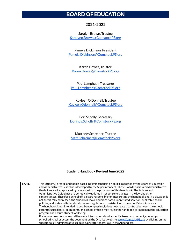# <span id="page-6-0"></span>BOARD OF EDUCATION

#### **2021-2022**

Saralyn Brown, Trustee [Saralynn.Brown@ComstockPS.org](mailto:saralynn.brown@comstockps.org)

Pamela Dickinson, President [Pamela.Dickinson@ComstockPS.org](mailto:pamela.dickinson@comstockps.org)

Karen Howes, Trustee [Karen.Howes@ComstockPS.org](mailto:karen.howes@comstockps.org)

Paul Lamphear, Treasurer [Paul.Lamphear@ComstockPS.org](mailto:paul.lamphear@comstockps.org)

Kayleen O'Donnell, Trustee [Kayleen.Odonnell@ComstockPS.org](mailto:kayleen.odonnell@comstockps.org)

Dori Scholly, Secretary [Dorinda.Scholly@ComstockPS.org](mailto:dorinda.scholly@comstockps.org)

Matthew Schreiner, Trustee [Matt.Schreiner@ComstockPS.org](mailto:matt.schreiner@comstockps.org)

#### **Student Handbook Revised June 2022**

| <b>NOTE:</b> | This Student/Parent Handbook is based in significant part on policies adopted by the Board of Education         |
|--------------|-----------------------------------------------------------------------------------------------------------------|
|              | and Administrative Guidelines developed by the Superintendent. Those Board Policies and Administrative          |
|              | Guidelines are incorporated by reference into the provisions of this handbook. The Policies and                 |
|              | Administrative Guidelines are periodically updated in response to changes in the law and other                  |
|              | circumstances. Therefore, school officials are responsible for interpreting the handbook and, if a situation is |
|              | not specifically addressed, the school will make decisions based upon staff discretion, applicable board        |
|              | policies, and state and federal statutes and regulations, consistent with the school's best interests.          |
|              | The handbook is not intended to be all-encompassing, it does not create a contract between the school,          |
|              | parent(s)/guardian(s), or students, and school officials may revise the handbook to implement the education     |
|              | program and ensure student wellbeing.                                                                           |
|              | If you have questions or would like more information about a specific issue or document, contact your           |
|              | school principal or access the document on the District's website: www.ComstockPS.org by clicking on the        |
|              | specific policy, administrative guideline, or state/federal law in the Appendices.                              |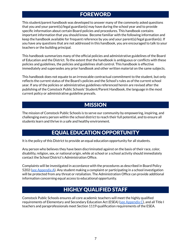# FOREWORD

<span id="page-7-0"></span>This student/parent handbook was developed to answer many of the commonly asked questions that you and your parent(s)/legal guardian(s) may have during the school year and to provide specific information about certain Board policies and procedures. This handbook contains important information that you should know. Become familiar with the following information and keep the handbook available for frequent reference by you and your parent(s)/legal guardian(s). If you have any questions that are not addressed in this handbook, you are encouraged to talk to your teachers or the building principal.

This handbook summarizes many of the official policies and administrative guidelines of the Board of Education and the District. To the extent that the handbook is ambiguous or conflicts with these policies and guidelines, the policies and guidelines shall control. This handbook is effective immediately and supersedes any prior handbook and other written material on the same subjects.

This handbook does not equate to an irrevocable contractual commitment to the student, but only reflects the current status of the Board's policies and the School's rules as of the current school year. If any of the policies or administrative guidelines referenced herein are revised after the publishing of the Comstock Public Schools' Student/Parent Handbook, the language in the most current policy or administrative guideline prevails.

# **MISSION**

<span id="page-7-1"></span>The mission of Comstock Public Schools is to serve our community by empowering, inspiring, and challenging every person within the school district to reach their full potential, and to ensure all students learn and thrive in a safe and healthy environment.

# EQUAL EDUCATION OPPORTUNITY

<span id="page-7-2"></span>It is the policy of this District to provide an equal education opportunity for all students.

Any person who believes they have been discriminated against on the basis of their race, color, disability, religion, sex, or national origin, while at school or a school activity should immediately contact the School District's Administration Office.

Complaints will be investigated in accordance with the procedures as described in Board Policy 5202 (see [Appendix](#page-55-6) A). Any student making a complaint or participating in a school investigation will be protected from any threat or retaliation. The Administration Office can provide additional information concerning equal access to educational opportunity.

# HIGHLY QUALIFIED STAFF

<span id="page-7-3"></span>Comstock Public Schools ensures all core academic teachers will meet the highly qualified requirements of Elementary and Secondary Education Act (ESEA) (see [Appendix](#page-56-4)  $C$ ), and all Title I teachers and paraprofessionals meet Section 1119 qualification requirements of the ESEA.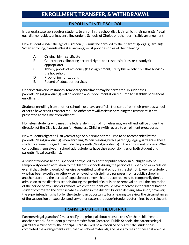# ENROLLMENT, TRANSFER, & WITHDRAWAL

# **ENROLLING IN THE SCHOOL**

<span id="page-8-1"></span><span id="page-8-0"></span>In general, state law requires students to enroll in the school district in which their parent(s)/legal guardian(s) resides, unless enrolling under a Schools of Choice or other permissible arrangement.

New students under the age of eighteen (18) must be enrolled by their parent(s)/legal guardian(s). When enrolling, parent(s)/legal guardian(s) must provide copies of the following:

- A. Original birth certificate
- B. Court papers allocating parental rights and responsibilities, or custody (if appropriate)
- C. Two (2) proofs of residency (lease agreement, utility bill, or other bill that services the household)
- D. Proof of immunizations
- E. Record of education services

Under certain circumstances, temporary enrollment may be permitted. In such cases, parent(s)/legal guardian(s) will be notified about documentation required to establish permanent enrollment.

Students enrolling from another school must have an official transcript from their previous school in order to have credits transferred. The office staff will assist in obtaining the transcript, if not presented at the time of enrollment.

Homeless students who meet the federal definition of homeless may enroll and will be under the direction of the District Liaison for Homeless Children with regard to enrollment procedures.

New students eighteen (18) years of age or older are not required to be accompanied by the parent(s)/legal guardian(s) when enrolling. When residing with a parent(s)/legal guardian(s), these students are encouraged to include the parent(s)/legal guardian(s) in the enrollment process. When conducting themselves in school, adult students have the responsibilities of both student and parent(s)/legal guardian(s).

A student who has been suspended or expelled by another public school in Michigan may be temporarily denied admission to the district's schools during the period of suspension or expulsion even if that student would otherwise be entitled to attend school in the district. Likewise, a student who has been expelled or otherwise removed for disciplinary purposes from a public school in another state and the period of expulsion or removal has not expired, may be temporarily denied admission to the district's schools during the period of expulsion or removal or until the expiration of the period of expulsion or removal which the student would have received in the district had the student committed the offense while enrolled in the district. Prior to denying admission, however, the superintendent shall offer the student an opportunity for a hearing to review the circumstances of the suspension or expulsion and any other factors the superintendent determines to be relevant.

# **TRANSFER OUT OF THE DISTRICT**

<span id="page-8-2"></span>Parent(s)/legal guardian(s) must notify the principal about plans to transfer their child(ren) to another school. If a student plans to transfer from Comstock Public Schools, the parent(s)/legal guardian(s) must notify the principal. Transfer will be authorized only after the student has completed the arrangements, returned all school materials, and paid any fees or fines that are due.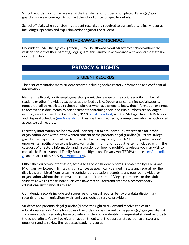School records may not be released if the transfer is not properly completed. Parent(s)/legal guardian(s) are encouraged to contact the school office for specific details.

School officials, when transferring student records, are required to transmit disciplinary records including suspension and expulsion actions against the student.

# **WITHDRAWAL FROM SCHOOL**

<span id="page-9-1"></span><span id="page-9-0"></span>No student under the age of eighteen (18) will be allowed to withdraw from school without the written consent of their parent(s)/legal guardian(s) and/or in accordance with applicable state law or court orders.

# PRIVACY & RIGHTS

# **STUDENT RECORDS**

<span id="page-9-2"></span>The district maintains many student records including both directory information and confidential information.

Neither the Board, nor its employees, shall permit the release of the social security number of a student, or other individual, except as authorized by law. Documents containing social security numbers shall be restricted to those employees who have a need to know that information or a need to access those documents. When documents containing social security numbers are no longer needed, as determined by Board Policy 3113 (see [Appendix](#page-55-7) A) and the Michigan Records Retention and Disposal Schedule (see [Appendix](#page-56-5)  $C$ ), they shall be shredded by an employee who has authorized access to such records.

Directory information can be provided upon request to any individual, other than a for-profit organization, even without the written consent of the parent(s)/legal guardian(s). Parent(s)/legal guardian(s) may refuse to allow the Board to disclose any, or all, of such "directory information" upon written notification to the Board. For further information about the items included within the category of directory information and instructions on how to prohibit its release you may wish to consult the Board's annual Family Education Rights and Privacy Act (FERPA) notice (see [Appendix](#page-55-8) [A](#page-55-8)) and Board Policy 5309 (see [Appendix](#page-55-9) A).

Other than directory information, access to all other student records is protected by FERPA and Michigan law. Except in limited circumstances as specifically defined in state and federal law, the district is prohibited from releasing confidential education records to any outside individual or organization without the prior written consent of the parent(s)/legal guardian(s), or the adult student, as well as those individuals who have matriculated and entered a postsecondary educational institution at any age.

Confidential records include test scores, psychological reports, behavioral data, disciplinary records, and communications with family and outside service providers.

Students and parent(s)/legal guardian(s) have the right to review and receive copies of all educational records. Costs for copies of records may be charged to the parent(s)/legal guardian(s). To review student records please provide a written notice identifying requested student records to the school office. You will be given an appointment with the appropriate person to answer any questions and to review the requested student records.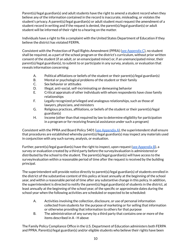Parent(s)/legal guardian(s) and adult students have the right to amend a student record when they believe any of the information contained in the record is inaccurate, misleading, or violates the student's privacy. A parent(s)/legal guardian(s) or adult student must request the amendment of a student record in writing and if the request is denied, the parent(s)/legal guardian(s) or adult student will be informed of their right to a hearing on the matter.

Individuals have a right to file a complaint with the United States Department of Education if they believe the district has violated FERPA.

Consistent with the Protection of Pupil Rights Amendment (PPRA) (see [Appendix](#page-56-6) C), no student shall be required, as a part of the school program or the district's curriculum, without prior written consent of the student (if an adult, or an emancipated minor) or, if an unemancipated minor, their parent(s)/legal guardian(s), to submit to or participate in any survey, analysis, or evaluation that reveals information concerning:

- A. Political affiliations or beliefs of the student or their parent(s)/legal guardian(s)
- B. Mental or psychological problems of the student or their family
- C. Sex behavior or attitudes
- D. **Illegal, anti-social, self-incriminating or demeaning behavior**
- E. Critical appraisals of other individuals with whom respondents have close family relationships
- F. Legally recognized privileged and analogous relationships, such as those of lawyers, physicians, and ministers
- G. Religious practices, affiliations, or beliefs of the student or their parent(s)/legal guardian(s)
- H. Income (other than that required by law to determine eligibility for participation in a program or for receiving financial assistance under such a program)

Consistent with the PPRA and Board Policy 5401 (see [Appendix](#page-55-10) A), the superintendent shall ensure that procedures are established whereby parent(s)/legal guardian(s) may inspect any materials used in conjunction with any such survey, analysis, or evaluation.

Further, parent(s)/legal guardian(s) have the right to inspect, upon request (see [Appendix](#page-55-11) B), a survey or evaluation created by a third party before the survey/evaluation is administered or distributed by the school to the student. The parent(s)/legal guardian(s) will have access to the survey/evaluation within a reasonable period of time after the request is received by the building principal.

The superintendent will provide notice directly to parent(s)/legal guardian(s) of students enrolled in the district of the substantive content of this policy at least annually at the beginning of the school year, and within a reasonable period of time after any substantive change in this policy. In addition, the superintendent is directed to notify the parent(s)/legal guardian(s) of students in the district, at least annually at the beginning of the school year, of the specific or approximate dates during the school year when the following activities are scheduled or expected to be scheduled:

- A. Activities involving the collection, disclosure, or use of personal information collected from students for the purpose of marketing or for selling that information or otherwise providing that information to others for that purpose
- B. The administration of any survey by a third party that contains one or more of the items described in A - H above

The Family Policy Compliance Office in the U.S. Department of Education administers both FERPA and PPRA. Parent(s)/legal guardian(s) and/or eligible students who believe their rights have been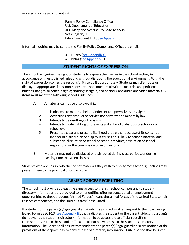violated may file a complaint with:

Family Policy Compliance Office U.S. Department of Education 400 Maryland Avenue, SW 20202-4605 Washington, D.C. File a Complaint Link: See [Appendix](#page-56-7) C

Informal inquiries may be sent to the Family Policy Compliance Office via email:

- $\bullet$  FERPA (see [Appendix](#page-56-8) C)
- PPRA (see [Appendix](#page-56-9) C)

# **STUDENT RIGHTS OF EXPRESSION**

<span id="page-11-0"></span>The school recognizes the right of students to express themselves in the school setting, in accordance with established rules and without disrupting the educational environment. With the right of expression comes the responsibility to do it appropriately. Students may distribute or display, at appropriate times, non-sponsored, noncommercial written material and petitions; buttons, badges, or other insignia; clothing, insignia, and banners, and audio and video materials. All items must meet the following school guidelines:

- A. A material cannot be displayed if it:
	- 1. Is obscene to minors, libelous, indecent and pervasively or vulgar
	- 2. Advertises any product or service not permitted to minors by law
	- 3. Intends to be insulting or harassing
	- 4. Intends to incite fighting or presents a likelihood of disrupting school or a school event
	- 5. Presents a clear and present likelihood that, either because of its content or manner of distribution or display, it causes or is likely to cause a material and substantial disruption of school or school activities, a violation of school regulations, or the commission of an unlawful act
- B. Materials may not be displayed or distributed during class periods, or during passing times between classes

Students who are unsure whether or not materials they wish to display meet school guidelines may present them to the principal prior to display.

# **ARMED FORCES RECRUITING**

<span id="page-11-1"></span>The school must provide at least the same access to the high school campus and to student directory information as is provided to other entities offering educational or employment opportunities to those students. "Armed Forces" means the armed forces of the United States, their reserve components, and the United States Coast Guard.

If a student or the parent(s)/legal guardian(s) submits a signed, written request to the Board using Board Form 8330 F13 (see [Appendix](#page-55-12) B), that indicates the student or the parent(s)/legal guardian(s) do not want the student's directory information to be accessible to official recruiting representatives then the school's officials shall not allow access to the student's directory information. The Board shall ensure that students and parent(s)/legal guardian(s) are notified of the provisions of the opportunity to deny release of directory information. Public notice shall be given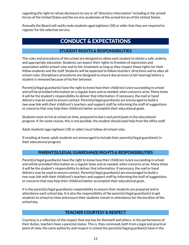regarding the right to refuse disclosure to any or all "directory information" including in the armed forces of the United States and the service academies of the armed forces of the United States.

<span id="page-12-0"></span>Annually the Board will notify male students aged eighteen (18) or older that they are required to register for the selective service.

# CONDUCT & EXPECTATIONS

# **STUDENT RIGHTS & RESPONSIBILITIES**

<span id="page-12-1"></span>The rules and procedures of the school are designed to allow each student to obtain a safe, orderly, and appropriate education. Students can expect their rights to freedom of expression and association within school rules and to fair treatment as long as they respect those rights for their fellow students and the staff. Students will be expected to follow teachers' directions and to obey all school rules. Disciplinary procedures are designed to ensure due process (a fair hearing) before a student is removed because of his/her behavior.

Parent(s)/legal guardian(s) have the right to know how their child(ren) is/are succeeding in school and will be provided information on a regular basis and as needed, when concerns arise. Many times it will be the student's responsibility to deliver that information. If necessary, the mail or hand delivery may be used to ensure contact. Parent(s)/legal guardian(s) are encouraged to build a two-way link with their child(ren)'s teachers and support staff by informing the staff of suggestions or concerns that may help their child(ren) better accomplish their educational goals.

Students must arrive at school on time, prepared to learn and participate in the educational program. If, for some reason, this is not possible, the student should seek help from the office staff.

Adult students (age eighteen (18) or older) must follow all school rules.

If residing at home, adult students are encouraged to include their parent(s)/legal guardian(s) in their educational program.

# **PARENT(S)/LEGAL GUARDIAN(S) RIGHTS & RESPONSIBILITIES**

<span id="page-12-2"></span>Parent(s)/legal guardian(s) have the right to know how their child(ren) is/are succeeding in school and will be provided information on a regular basis and as needed, when concerns arise. Many times it will be the student's responsibility to deliver that information. If necessary, the mail or hand delivery may be used to ensure contact. Parent(s)/legal guardian(s) are encouraged to build a two-way link with their child(ren)'s teachers and support staff by informing the staff of suggestions or concerns that may help their child(ren) better accomplish their educational goals.

It is the parent(s)/legal guardian(s) responsibility to ensure their students are prepared and in attendance each school day. It is also the responsibility of the parent(s)/legal guardian(s) to get students to school on time and ensure their students remain in attendance for the duration of the school day.

# **TEACHER COURTESY & RESPECT**

<span id="page-12-3"></span>Courtesy is a reflection of the respect that one has for themself and others. In the performance of their duties, teachers have a parental status. This is, they command, both from a legal and practical point of view, the same authority and respect in school the parent(s)/legal guardian(s) have in the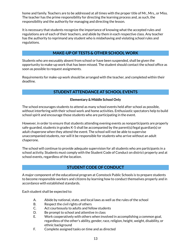home and family. Teachers are to be addressed at all times with the proper title of Mr., Mrs., or Miss. The teacher has the prime responsibility for directing the learning process and, as such, the responsibility and the authority for managing and directing the lesson.

It is necessary that students recognize the importance of knowing what the accepted rules and regulations are of each of their teachers, and abide by them in each respective class. Any teacher has the authority to reprimand any student who is misbehaving and violating school rules and regulations.

# **MAKE-UP OF TESTS & OTHER SCHOOL WORK**

<span id="page-13-0"></span>Students who are excusably absent from school or have been suspended, shall be given the opportunity to make-up work that has been missed. The student should contact the school office as soon as possible to request assignments.

<span id="page-13-1"></span>Requirements for make-up work should be arranged with the teacher, and completed within their deadline.

# **STUDENT ATTENDANCE AT SCHOOL EVENTS**

#### **Elementary & Middle School Only**

<span id="page-13-2"></span>The school encourages students to attend as many school events held after school as possible, without interfering with their school work and home activities. Enthusiastic spectators help to build school spirit and encourage those students who are participating in the event.

However, in order to ensure that students attending evening events as nonparticipants are properly safe-guarded, students in grades K-5 shall be accompanied by the parent(s)/legal guardian(s) or adult chaperone when they attend the event. The school will not be able to supervise unaccompanied students, nor will it be responsible for students who arrive without an adult chaperone.

The school will continue to provide adequate supervision for all students who are participants in a school activity. Students must comply with the Student Code of Conduct on district property and at school events, regardless of the location.

# **STUDENT CODE OF CONDUCT**

<span id="page-13-3"></span>A major component of the educational program at Comstock Public Schools is to prepare students to become responsible workers and citizens by learning how to conduct themselves properly and in accordance with established standards.

Each student shall be expected to:

- A. Abide by national, state, and local laws as well as the rules of the school
- B. Respect the civil rights of others
- C. Act courteously to adults and fellow students
- D. Be prompt to school and attentive in class
- E. Work cooperatively with others when involved in accomplishing a common goal, regardless of the other's ability, gender, race, religion, height, weight, disability, or ethnic background
- F. Complete assigned tasks on time and as directed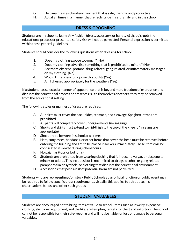- G. Help maintain a school environment that is safe, friendly, and productive
- H. Act at all times in a manner that reflects pride in self, family, and in the school

# **DRESS & GROOMING**

<span id="page-14-0"></span>Students are in school to learn. Any fashion (dress, accessory, or hairstyle) that disrupts the educational process or presents a safety risk will not be permitted. Personal expression is permitted within these general guidelines.

Students should consider the following questions when dressing for school:

- 1. Does my clothing expose too much?(No)
- 2. Does my clothing advertise something that is prohibited to minors?(No)
- 3. Are there obscene, profane, drug-related, gang-related, or inflammatory messages on my clothing?(No)
- 4. Would I interview for a job in this outfit?(Yes)
- 5. Am I dressed appropriately for the weather?(Yes)

If a student has selected a manner of appearance that is beyond mere freedom of expression and disrupts the educational process or presents risk to themselves or others, they may be removed from the educational setting.

The following styles or manners of dress are required:

- A. All shirts must cover the back, sides, stomach, and cleavage. Spaghetti straps are prohibited
- B. All pants will completely cover undergarments (no sagging)
- C. Shorts and skirts must extend to mid-thigh to the top of the knee (5" inseams are appropriate)
- D. Shoes are to be worn in school at all times
- E. Hats, sunglasses, bandanas, or other items that cover the head must be removed before entering the building and are to be placed in lockers immediately. These items will be confiscated if viewed during school hours
- F. No pajamas (tops or bottoms)
- G. Students are prohibited from wearing clothing that is indecent, vulgar, or obscene to minors or adults. This includes but is not limited to, drugs, alcohol, or gang related paraphernalia or symbols, or clothing that disrupts the educational environment
- H. Accessories that pose a risk of potential harm are not permitted

Students who are representing Comstock Public Schools at an official function or public event may be required to follow specific dress requirements. Usually, this applies to athletic teams, cheerleaders, bands, and other such groups.

# **STUDENT VALUABLES**

<span id="page-14-1"></span>Students are encouraged not to bring items of value to school. Items such as jewelry, expensive clothing, electronic equipment, and the like, are tempting targets for theft and extortion. The school cannot be responsible for their safe-keeping and will not be liable for loss or damage to personal valuables.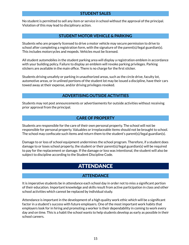<span id="page-15-0"></span>No student is permitted to sell any item or service in school without the approval of the principal. Violation of this may lead to disciplinary action.

## **STUDENT MOTOR VEHICLE & PARKING**

<span id="page-15-1"></span>Students who are properly licensed to drive a motor vehicle may secure permission to drive to school after completing a registration form, with the signature of the parent(s)/legal guardian(s). This includes motorcycles and mopeds. Vehicles must be licensed.

All student automobiles in the student parking area will display a registration emblem in accordance with your building policy. Failure to display an emblem will revoke parking privileges. Parking stickers are available in the main office. There is no charge for the first sticker.

Students driving unsafely or parking in unauthorized areas, such as the circle drive, faculty lot, automotive areas, or in unlined portions of the student lot may be issued a discipline, have their cars towed away at their expense, and/or driving privileges revoked.

# **ADVERTISING OUTSIDE ACTIVITIES**

<span id="page-15-2"></span>Students may not post announcements or advertisements for outside activities without receiving prior approval from the principal.

# **CARE OF PROPERTY**

<span id="page-15-3"></span>Students are responsible for the care of their own personal property. The school will not be responsible for personal property. Valuables or irreplaceable items should not be brought to school. The school may confiscate such items and return them to the student's parent(s)/legal guardian(s).

Damage to or loss of school equipment undermines the school program. Therefore, if a student does damage to or loses school property, the student or their parent(s)/legal guardian(s) will be required to pay for the replacement or damage. If the damage or loss was intentional, the student will also be subject to discipline according to the Student Discipline Code.

# **ATTENDANCE**

# **ATTENDANCE**

<span id="page-15-5"></span><span id="page-15-4"></span>It is imperative students be in attendance each school day in order not to miss a significant portion of their education. Important knowledge and skills result from active participation in class and other school activities which cannot be replaced by individual study.

Attendance is important in the development of a high quality work ethic which will be a significant factor in a student's success with future employers. One of the most important work habits that employers look for in hiring and promoting a worker is their dependability in coming to work every day and on time. This is a habit the school wants to help students develop as early as possible in their school careers.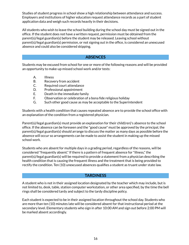Studies of student progress in school show a high relationship between attendance and success. Employers and institutions of higher education request attendance records as a part of student application data and weigh such records heavily in their decisions.

All students who wish to leave the school building during the school day must be signed out in the office. If the student does not have a written request, permission must be obtained from the parent(s)/legal guardian(s) before the student may be released. Leaving school without parent(s)/legal guardian(s) permission, or not signing out in the office, is considered an unexcused absence and could also be considered skipping.

# **ABSENCES**

<span id="page-16-0"></span>Students may be excused from school for one or more of the following reasons and will be provided an opportunity to make-up missed school work and/or tests:

- A. Illness
- B. Recovery from accident
- C. Required court attendance
- D. Professional appointment
- E. Death in the immediate family
- F. Observation or celebration of a bona fide religious holiday
- G. Such other good cause as may be acceptable to the Superintendent

Students with a health condition that causes repeated absence are to provide the school office with an explanation of the condition from a registered physician.

Parent(s)/legal guardian(s) must provide an explanation for their child(ren)'s absence to the school office. If the absence can be foreseen and the "good cause" must be approved by the principal, the parent(s)/legal guardian(s) should arrange to discuss the matter as many days as possible before the absence will occur so arrangements can be made to assist the student in making up the missed school work.

Students who are absent for multiple days in a grading period, regardless of the reasons, will be considered "frequently absent."If there is a pattern of frequent absence for "illness,"the parent(s)/legal guardian(s) will be required to provide a statement from a physician describing the health condition that is causing the frequent illness and the treatment that is being provided to rectify the condition. Ten (10) unexcused absences qualifies a student as truant under state law.

# **TARDINESS**

<span id="page-16-1"></span>A student who is not in their assigned location designated by the teacher which may include, but is not limited to, desk, table, station computer workstation, or other area specified, by the time the bell rings shall be considered tardy and subject to the tardy discipline policy.

Each student is expected to be in their assigned location throughout the school day. Students who are more than ten (10) minutes late will be considered absent for that instructional period at the secondary level. Elementary students who sign in after 10:00 AM and sign out before 2:00 PM will be marked absent accordingly.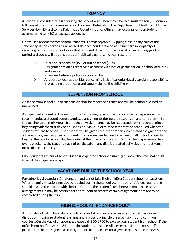# **TRUANCY**

<span id="page-17-0"></span>A student is considered truant during the school year when they have accumulated ten (10) or more full days of unexcused absences in a school year. Referrals to the Department of Health and Human Services (DHHS) and to the Kalamazoo County Truancy Officer may occur prior to a student accumulating ten (10) unexcused absences.

Unexcused absences from school (truancy) is not acceptable. Skipping class, or any part of the school day, is considered an unexcused absence. Students who are truant are in jeopardy of receiving no credit for school work that is missed. After multiple days of truancy in any grading period, a student will be considered a "habitual truant" which can result in:

- A. In-school suspension (ISS) or out of school (OSS)
- B. Assignment to an alternative placement with loss of participation in school activities and events
- C. A hearing before a judge in a court of law
- D. A report to local authorities concerning lack of parental/legal guardian responsibility in providing proper care and supervision of the child(ren)

## **SUSPENSION FROM SCHOOL**

<span id="page-17-1"></span>Absence from school due to suspension shall be recorded as such and will be neither excused or unexcused.

A suspended student will be responsible for making up school work lost due to suspension. It is recommended a student complete missed assignments during the suspension and turn them in to the teacher upon their return from school. Assignments may be requested from the school office beginning with the first day of a suspension. Make up of missed tests may be scheduled when the student returns to school. The student will be given credit for properly-completed assignments and a grade on any made-up tests. Students that are suspended are to remain off all district property beyond the regular school day beginning at the time of notification. Should the suspension extend over a weekend, the student may not participate in any district related activities and must remain off all district property.

Days students are out of school due to unexpected school closures, (i.e., snow days) will not count toward the suspension days.

# **VACATIONS DURING THE SCHOOL YEAR**

<span id="page-17-2"></span>Parent(s)/legal guardian(s) are encouraged to not take their child(ren) out of school for vacations. When a family vacation must be scheduled during the school year, the parent(s)/legal guardian(s) should discuss the matter with the principal and the student's teacher(s) to make necessary arrangements. It may be possible for the student to receive certain assignments that are to be completed during the trip.

#### **HIGH SCHOOL ATTENDANCE POLICY**

<span id="page-17-3"></span>At Comstock High School, daily punctuality and attendance is necessary to avoid classroom disruption, maximize student learning, and is a basic principle of responsibility and common courtesy. On the day of an absence, please call 250-8700 to excuse your student from school. If the office is not notified within 24 hours the student's absence will be recorded as unexcused. The principal or their designee has the right to excuse absences for a given circumstance. Below is the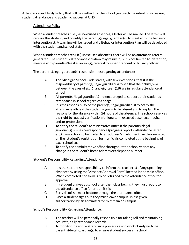Attendance and Tardy Policy that will be in effect for the school year, with the intent of increasing student attendance and academic success at CHS.

#### Attendance Policy

When a student reaches five (5) unexcused absences, a letter will be mailed. The letter will require the student, and possibly the parent(s)/legal guardian(s), to meet with the behavior interventionist. A warning will be issued and a Behavior Intervention Plan will be developed with the student and school staff.

When a student reaches ten (10) unexcused absences, there will be an automatic referral generated. The student's attendance violation may result in, but is not limited to: detention, meeting with parent(s)/legal guardian(s), referral to superintendent or truancy officer.

The parent(s)/legal guardian(s) responsibilities regarding attendance:

- A. The Michigan School Code states, with few exceptions, that it is the responsibility of parent(s)/legal guardian(s) to see that their child(ren) between the ages of six (6) and eighteen (18) are in regular attendance at school
- B. All parent(s)/legal guardian(s) are encouraged to support their student's attendance in school regardless of age
- C. It is the responsibility of the parent(s)/legal guardian(s) to notify the attendance office if the student is going to be absent and to explain the reasons for the absence within 24 hours of the absence. The school reserves the right to request verification for long term excused absences, medical and/or professional
- D. To notify the student's administrative office if the parent(s)/legal guardian(s) wishes correspondence (progress reports, attendance letter, etc.) from school to be mailed to an address/email other than the one listed on the student's registration form which is completed at the beginning of each school year
- E. To notify the administrative office throughout the school year of any change in the student's home address or telephone number

Student's Responsibility Regarding Attendance:

- A. It is the student's responsibility to inform the teacher(s) of any upcoming absences by using the "Absence Approval Form" located in the main office. When completed, the form is to be returned to the attendance office for approval
- B. If a student arrives at school after their class begins, they must report to the attendance office for an admit slip
- C. Early dismissal must be done through the attendance office
- D. Once a student signs out, they must leave campus unless given authorization by an administrator to remain on campus

School's Responsibility Regarding Attendance:

- A. The teacher will be personally responsible for taking roll and maintaining accurate, daily attendance records
- B. To monitor the entire attendance procedure and work closely with the parent(s)/legal guardian(s) to ensure student success in school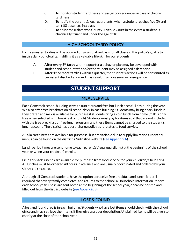- C. To monitor student tardiness and assign consequences in case of chronic tardiness
- D. To notify the parent(s)/legal guardian(s) when a student reaches five (5) and ten (10) absences in a class
- E. To enlist the Kalamazoo County Juvenile Court in the event a student is chronically truant and under the age of 18

# **HIGH SCHOOL TARDY POLICY**

<span id="page-19-0"></span>Each semester, tardies will be accrued on a cumulative basis for all classes. This policy's goal is to inspire daily punctuality, instilling it as a valuable life skill for our students.

- A. After every 3<sup>rd</sup> tardy within a quarter a behavior plan may be developed with student and school staff, and/or the student may be assigned a detention.
- <span id="page-19-1"></span>B. **After 12 or more tardies** within a quarter, the student's actions will be constituted as persistent disobedience and may result in a more severe consequence.

# STUDENT SUPPORT

# **MEAL SERVICE**

<span id="page-19-2"></span>Each Comstock school building serves a nutritious and free hot lunch each full day during the year. We also offer free breakfast on all school days, in each building. Students may bring a sack lunch if they prefer, and milk is available for purchase if students bring a cold lunch from home (milk is only free when selected with breakfast or lunch). Students must pay for items sold that are not included with the free breakfast or free lunch program, and these items cannot be charged to the student's lunch account. The district has a zero-charge policy as it relates to food service.

All a la carte items are available for purchase, but are variable due to supply limitations. Monthly menus can be found on the district's Nutrislice website (see [Appendix](#page-56-10) A).

Lunch period times are sent home to each parent(s)/legal guardian(s) at the beginning of the school year, or when your child(ren) enrolls.

Field trip sack lunches are available for purchase from food service for your child(ren)'s field trips. All lunches must be ordered 48 hours in advance and are usually coordinated and ordered by your child(ren)'s teacher.

Although all Comstock students have the option to receive free breakfast and lunch, it is still required that every family completes, and returns to the school, a Household Information Report each school year. These are sent home at the beginning of the school year, or can be printed and filled out from the district website (see [Appendix](#page-55-13)  $B$ ).

# **LOST & FOUND**

<span id="page-19-3"></span>A lost and found area is in each building. Students who have lost items should check with the school office and may retrieve their items if they give a proper description. Unclaimed items will be given to charity at the close of the school year.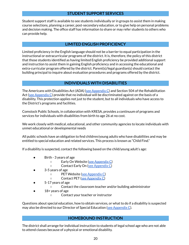# **STUDENT SUPPORT SERVICES**

<span id="page-20-0"></span>Student support staff is available to see students individually or in groups to assist them in making course selections, planning a career, post-secondary education, or to give help on personal problems and decision making. The office staff has information to share or may refer students to others who can provide help.

## **LIMITED ENGLISH PROFICIENCY**

<span id="page-20-1"></span>Limited proficiency in the English language should not be a barrier to equal participation in the instructional or extracurricular programs of the district. It is, therefore, the policy of this district that those students identified as having limited English proficiency be provided additional support and instruction to assist them in gaining English proficiency and in accessing the educational and extra-curricular program offered by the district. Parent(s)/legal guardian(s) should contact the building principal to inquire about evaluation procedures and programs offered by the district.

# **INDIVIDUALS WITH DISABILITIES**

<span id="page-20-2"></span>The Americans with Disabilities Act (ADA) (see [Appendix](#page-56-11) C) and Section 504 of the Rehabilitation Act (see [Appendix](#page-56-12)  $C$ ) provide that no individual will be discriminated against on the basis of a disability. This protection applies not just to the student, but to all individuals who have access to the District's programs and facilities.

Comstock Public Schools, in collaboration with KRESA, provides a continuum of programs and services for individuals with disabilities from birth to age 26 at no cost.

We work closely with medical, educational, and other community agencies to locate individuals with unmet educational or developmental needs

All public schools have an obligation to find children/young adults who have disabilities and may be entitled to special education and related services. This process is known as "Child Find."

If a disability is suspected, contact the following based on the child/young adult's age:

- Birth 3 years of age
	- Early On Website (see [Appendix](#page-56-13) C)
	- Contact Early On (see [Appendix](#page-56-14) C)
- 3-5 years of age
	- PET Website (see [Appendix](#page-56-15) C)
	- Contact PET (see [Appendix](#page-56-16) C)
- 5-17 years of age
	- Contact the classroom teacher and/or building administrator
- $18+$  years of age
	- Contact your teacher or instructor

Questions about special education, how to obtain services, or what to do if a disability is suspected may also be directed to our Director of Special Education (see [Appendix](#page-56-17) C).

#### **HOMEBOUND INSTRUCTION**

<span id="page-20-3"></span>The district shall arrange for individual instruction to students of legal school age who are not able to attend classes because of a physical or emotional disability.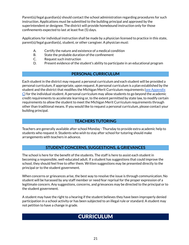Parent(s)/legal guardian(s) should contact the school administration regarding procedures for such instruction. Applications must be submitted to the building principal and approved by the superintendent or designee. The district will provide homebound instruction only for those confinements expected to last at least five (5) days.

Applications for individual instruction shall be made by a physician licensed to practice in this state, parent(s)/legal guardian(s), student, or other caregiver. A physician must:

- A. Certify the nature and existence of a medical condition
- B. State the probable duration of the confinement
- C. Request such instruction
- D. Present evidence of the student's ability to participate in an educational program

# **PERSONAL CURRICULUM**

<span id="page-21-0"></span>Each student in the district may request a personal curriculum and each student will be provided a personal curriculum, if appropriate, upon request. A personal curriculum is a plan established by the student and the district that modifies the Michigan Merit Curriculum requirements (see [Appendix](#page-56-18)  $\bigcirc$  for the individual student. A personal curriculum may allow students to go beyond the academic credit requirements to accelerate learning or, to the extent permitted by state law, to modify certain requirements to allow the student to meet the Michigan Merit Curriculum requirements through other than traditional means. If you would like to request a personal curriculum, please contact your building principal.

# **TEACHERS TUTORING**

<span id="page-21-1"></span>Teachers are generally available after school Monday - Thursday to provide extra academic help to students who request it. Students who wish to stay after school for tutoring should make arrangements with teachers in advance.

# **STUDENT CONCERNS, SUGGESTIONS, & GRIEVANCES**

<span id="page-21-2"></span>The school is here for the benefit of the students. The staff is here to assist each student in becoming a responsible, well-educated adult. If a student has suggestions that could improve the school, they should feel free to offer them. Written suggestions may be presented directly to the principal or to the student government.

When concerns or grievances arise, the best way to resolve the issue is through communication. No student will be harassed by any staff member or need fear reprisal for the proper expression of a legitimate concern. Any suggestions, concerns, and grievances may be directed to the principal or to the student government.

<span id="page-21-3"></span>A student may have the right to a hearing if the student believes they have been improperly denied participation in a school activity or has been subjected to an illegal rule or standard. A student may not petition to have a change in grade.

# **CURRICULUM**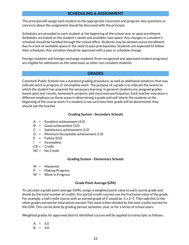# **SCHEDULING & ASSIGNMENT**

<span id="page-22-0"></span>The principal will assign each student to the appropriate classroom and program. Any questions or concerns about the assignment should be discussed with the principal.

Schedules are provided to each student at the beginning of the school year or upon enrollment. Schedules are based on the student's needs and available class space. Any changes in a student's schedule should be handled through the school office. Students may be denied course enrollment due to a lack of available space or the need to pass prerequisites. Students are expected to follow their schedules. Any variation should be approved with a pass or schedule change.

Foreign students and foreign-exchange students (from recognized and approved student programs) are eligible for admission on the same basis as other non-resident students.

#### **GRADES**

<span id="page-22-1"></span>Comstock Public Schools has a standard grading procedure, as well as additional notations that may indicate work in progress or incomplete work. The purpose of a grade is to indicate the extent to which the student has acquired the necessary learning. In general, students are assigned grades based upon test results, homework, projects, and classroom participation. Each teacher may place a different emphasis on these areas in determining a grade and will inform the students at the beginning of the course work. If a student is not sure how their grade will be determined, they should ask the teacher.

#### **Grading System - Secondary Schools**

- <span id="page-22-2"></span>A = Excellent achievement (4.0)
- B = Good achievement (3.0)
- C = Satisfactory achievement (2.0)
- D = Minimum-Acceptable achievement (1.0)
- $E =$  Failure (0.0)
- I = Incomplete
- CR = Credit
- NC = No Credit

#### **Grading System - Elementary Schools**

- <span id="page-22-3"></span>M = Mastered
- P = Making Progress
- W = Work in Progress

#### **Grade Point Average (GPA)**

<span id="page-22-4"></span>To calculate a grade point average (GPA), assign a weighted point value to each course grade and divide by the total number of credits. For partial-credit courses use the fractional value of the grade. For example, a half credit course with an earned grade of C would be .5 x 2=1. Then add this to the other grades earned for total points earned. This total is then divided by the total credits earned for the GPA. This can be done by grading period, semester, year, or for a series of school years.

Weighted grades for approved district identified courses will be applied to transcripts as follows:

$$
A = 5.0
$$
  

$$
B = 4.0
$$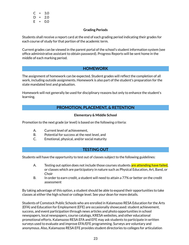$C = 3.0$  $D = 2.0$  $E = 0.0$ 

#### **Grading Periods**

<span id="page-23-0"></span>Students shall receive a report card at the end of each grading period indicating their grades for each course of study for that portion of the academic term.

Current grades can be viewed in the parent portal of the school's student information system (see office administrative assistant to obtain password). Progress Reports will be sent home in the middle of each marking period.

# **HOMEWORK**

<span id="page-23-1"></span>The assignment of homework can be expected. Student grades will reflect the completion of all work, including outside assignments. Homework is also part of the student's preparation for the state mandated test and graduation.

<span id="page-23-2"></span>Homework will not generally be used for disciplinary reasons but only to enhance the student's learning.

# **PROMOTION, PLACEMENT, & RETENTION**

#### **Elementary & Middle School**

<span id="page-23-3"></span>Promotion to the next grade (or level) is based on the following criteria:

- A. Current level of achievement,
- B. Potential for success at the next level, and
- C. Emotional, physical, and/or social maturity

#### **TESTING OUT**

<span id="page-23-4"></span>Students will have the opportunity to test out of classes subject to the following guidelines:

- A. Testing out option does not include those courses students are attending have failed, or classes which are participatory in nature such as Physical Education, Art, Band, or **Choir**
- B. In order to earn credit, a student will need to attain a 77% or better on the credit assessment

By taking advantage of this option, a student should be able to expand their opportunities to take classes at either the high school or college level. See your dean for more details.

Students of Comstock Public Schools who are enrolled in Kalamazoo RESA Education for the Arts (EFA) and Education for Employment (EFE) are occasionally showcased: student achievement, success, and event participation through news articles and photo opportunities in school newspapers, local newspapers, course catalogs, KRESA websites, and other educational promotional efforts. Kalamazoo RESA EFA and EFE may ask students to participate in written surveys used to evaluate and improve EFA/EFE programming. Surveys are voluntary and anonymous. Also, Kalamazoo RESA EFE provides student directories to colleges for articulation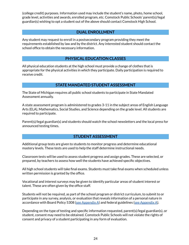(college credit) purposes. Information used may include the student's name, photo, home school, grade level, activities and awards, enrolled program, etc. Comstock Public Schools' parent(s)/legal guardian(s) wishing to opt a student out of the above should contact Comstock High School.

## **DUAL ENROLLMENT**

<span id="page-24-0"></span>Any student may request to enroll in a postsecondary program providing they meet the requirements established by law and by the district. Any interested student should contact the school office to obtain the necessary information.

# **PHYSICAL EDUCATION CLASSES**

<span id="page-24-1"></span>All physical education students at the high school must provide a change of clothes that is appropriate for the physical activities in which they participate. Daily participation is required to receive credit.

# **STATE MANDATED STUDENT ASSESSMENT**

<span id="page-24-2"></span>The State of Michigan requires all public school students to participate in State Mandated Assessment annually.

A state assessment program is administered to grades 3-11 in the subject areas of English Language Arts (ELA), Mathematics, Social Studies, and Science depending on the grade level. All students are required to participate.

Parent(s)/legal guardian(s) and students should watch the school newsletters and the local press for announced testing times.

#### **STUDENT ASSESSMENT**

<span id="page-24-3"></span>Additional group tests are given to students to monitor progress and determine educational mastery levels. These tests are used to help the staff determine instructional needs.

Classroom tests will be used to assess student progress and assign grades. These are selected, or prepared, by teachers to assess how well the students have achieved specific objectives.

All high school students will take final exams. Students must take final exams when scheduled unless written permission is granted by the office.

Vocational and interest surveys may be given to identify particular areas of student interest or talent. These are often given by the office staff.

Students will not be required, as part of the school program or district curriculum, to submit to or participate in any survey, analysis, or evaluation that reveals information of a personal nature in accordance with Board Policy 5308 (see [Appendix](#page-55-3) A) and federal guidelines (see Appendix A).

Depending on the type of testing and specific information requested, parent(s)/legal guardian(s), or student, consent may need to be obtained. Comstock Public Schools will not violate the rights of consent and privacy of a student participating in any form of evaluation.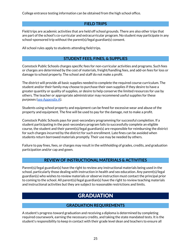College entrance testing information can be obtained from the high school office.

# **FIELD TRIPS**

<span id="page-25-0"></span>Field trips are academic activities that are held off school grounds. There are also other trips that are part of the school's co-curricular and extracurricular program. No student may participate in any school-sponsored trip without the parent(s)/legal guardian(s) consent.

All school rules apply to students attending field trips.

# **STUDENT FEES, FINES, & SUPPLIES**

<span id="page-25-1"></span>Comstock Public Schools charges specific fees for non-curricular activities and programs. Such fees or charges are determined by the cost of materials, freight/handling fees, and add-on fees for loss or damage to school property. The school and staff do not make a profit.

The district will provide all basic supplies needed to complete the required course curriculum. The student and/or their family may choose to purchase their own supplies if they desire to have a greater quantity or quality of supplies, or desire to help conserve the limited resources for use by others. The teacher or appropriate administrator may recommend useful supplies for these purposes (see [Appendix](#page-55-15) A).

Students using school property and equipment can be fined for excessive wear and abuse of the property and equipment. The fine will be used to pay for the damage, not to make a profit.

Comstock Public Schools pays for post-secondary programming for successful completion. If a student participating in the post-secondary program fails to successfully complete an eligible course, the student and their parent(s)/legal guardian(s) are responsible for reimbursing the district for such charges incurred by the district for such enrollment. Late fines can be avoided when students return borrowed materials promptly. Their use may be needed by others.

Failure to pay fines, fees, or charges may result in the withholding of grades, credits, and graduation participation and/or cap and gown.

# **REVIEW OF INSTRUCTIONAL MATERIALS & ACTIVITIES**

<span id="page-25-2"></span>Parent(s)/legal guardian(s) have the right to review any instructional materials being used in the school, particularly those dealing with instruction in health and sex education. Any parent(s)/legal guardian(s) who wishes to review materials or observe instruction must contact the principal prior to coming to the school. All parent(s)/legal guardian(s) have the right to review teaching materials and instructional activities but they are subject to reasonable restrictions and limits.

# **GRADUATION**

# **GRADUATION REQUIREMENTS**

<span id="page-25-4"></span><span id="page-25-3"></span>A student's progress toward graduation and receiving a diploma is determined by completing required coursework, earning the necessary credits, and taking the state mandated tests. It is the student's responsibility to keep in contact with their grade level dean and teachers to ensure all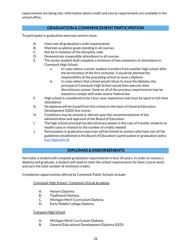requirements are being met. Information about credit and course requirements are available in the school office.

# **GRADUATION & COMMENCEMENT PARTICIPATION**

<span id="page-26-0"></span>To participate in graduation exercises seniors must:

- A. Have met all graduation credit requirements
- B. Maintain academic good-standing in all courses
- C. Not be in violation of the discipline code
- D. Demonstrate responsible attendance in all courses
- E. The senior student shall complete a minimum of two semesters of attendance in Comstock High School
	- a. In cases where a senior student transfers from another high school after the termination of the first semester, it would be deemed the responsibility of the preceding school to issue a diploma
	- b. In cases where that school would refuse to issue the diploma, the principal of Comstock High School would then exercise their discretionary power. Some or all of the previous requirements may be waived to comply with state and/or federal law.
- F. High school is considered to be a four-year experience and must be spent in full-time attendance
- G. No diploma will be issued from this school on the basis of General Education Development (GED) test scores
- H. Conditions may be waived or altered upon the recommendations of the administration and approval of the Board of Education
- I. The high school principal has discretionary power in the case of transfer students or health cases in relation to the number of credits needed
- J. Participation in graduation exercises will be limited to seniors who have met all the guidelines established in the Board of Education's participation in graduation policy (see [Appendix](#page-55-16) A)

# **DIPLOMAS & ENDORSEMENTS**

<span id="page-26-1"></span>Normally, a student will complete graduation requirements in four (4) years. In order to receive a diploma and graduate, a student will need to meet the school requirements for basic course work, and earn the total number of minimum credits.

Completion opportunities offered by Comstock Public Schools include:

Comstock High School / Comstock Virtual Academy

- A. Honors Diploma
- B. Traditional Diploma
- C. Michigan Merit Curriculum Diploma
- D. Early Middle College Diploma

#### Compass High School

- A. Michigan Merit Curriculum Diploma
- B. General Educational Development Diploma (GED)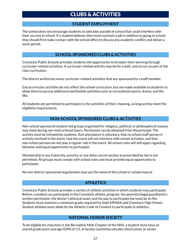# CLUBS & ACTIVITIES

# **STUDENT EMPLOYMENT**

<span id="page-27-1"></span><span id="page-27-0"></span>The school does not encourage students to take jobs outside of school that could interfere with their success in school. If a student believes they must maintain a job in addition to going to school, they should first make contact with the school office to discuss any academic conflict and obtain a work permit.

# **SCHOOL-SPONSORED CLUBS & ACTIVITIES**

<span id="page-27-2"></span>Comstock Public Schools provides students the opportunity to broaden their learning through curricular-related activities. A curricular-related activity may be for credit, and occurs as part of the class curriculum.

The district authorizes many curricular-related activities that are sponsored by a staff member.

Extracurricular activities do not reflect the school curriculum, but are made available to students to allow them to pursue additional worthwhile activities such as recreational sports, drama, and the like.

All students are permitted to participate in the activities of their choosing, as long as they meet the eligibility requirements.

# **NON-SCHOOL SPONSORED CLUBS & ACTIVITIES**

<span id="page-27-3"></span>Non-school sponsored student-led groups organized for religious, political, or philosophical reasons may meet during non-instructional hours. Permission can be obtained from the principal. The activity must be initiated by students, that attendance is voluntary, that no school staff person is actively involved in the event, that the event will not interfere with school activities, and that non-school persons do not play a regular role in the event. All school rules will still apply regarding behavior and equal opportunity to participate.

Membership in any fraternity, sorority, or any other secret society as prescribed by law is not permitted. All groups must comply with school rules and must provide equal opportunity to participate.

No non-district sponsored organization may use the name of the school or school mascot.

# **ATHLETICS**

<span id="page-27-4"></span>Comstock Public Schools provides a variety of athletic activities in which students may participate. Before a student can participate in the Comstock athletic program, the parent(s)/legal guardian(s)'s written permission, the doctor's physical exam, and the pay to participate fee must be on file. Students must maintain a minimum grade required for both MHSAA and Comstock High School. Student athletes must abide by the Athletic Code of Conduct to participate in athletics.

# **NATIONAL HONOR SOCIETY**

<span id="page-27-5"></span>To be eligible for induction in the Bernadine Mott Chapter of the NHS, a student must have an overall grade point average (GPA) of 3.5. A faculty committee decides which junior or senior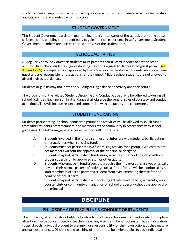students meet stringent standards for participation in school and community activities, leadership and citizenship, and are eligible for induction.

# **STUDENT GOVERNMENT**

<span id="page-28-0"></span>The Student Government assists in maintaining the high standards of the school, promoting better citizenship and enabling the student body to gain practical experience in self-government. Student Government members are elected representatives of the student body.

# **SCHOOL ACTIVITIES**

<span id="page-28-1"></span>All regularly enrolled Comstock students must present their ID card in order to enter a school activity. High school students in good standing may bring a guest to dances if the guest permit (see Appendix ???) is completed and approved by the office prior to the dance. Students are allowed one guest and are responsible for the actions for their guest. Middle school students are not allowed to attend high school dances.

Students or guests may not leave the building during a dance or activity and then return.

The provisions of the related Student Discipline and Conduct Code are to be adhered to during all school activities. Each person in attendance shall observe the general rules of courtesy and conduct at all times. This will include respect and cooperation with the faculty and chaperones.

# **STUDENT FUNDRAISING**

<span id="page-28-2"></span>Students participating in school-sponsored groups and activities will be allowed to solicit funds from other students, staff members, and members of the community in accordance with school guidelines. The following general rules will apply to all fundraisers:

- A. Students involved in the fundraiser must not interfere with students participating in other activities when soliciting funds
- B. Students must not participate in a fundraising activity for a group in which they are not members without the approval of the principal or designee
- C. Students may not participate in fundraising activities off school property without proper supervision by approved staff or other adults
- D. Students who engage in fundraisers that require them to exert themselves physically beyond their normal pattern of activity, such as "runs for .....", will be monitored by a staff member in order to prevent a student from over-extending themself to the point of potential harm
- E. Students may not participate in a fundraising activity conducted by a parent group, booster club, or community organization on school property without the approval of the principal

# **DISCIPLINE**

# **PHILOSOPHY OF DISCIPLINE & CONDUCT OF STUDENTS**

<span id="page-28-4"></span><span id="page-28-3"></span>The primary goal of Comstock Public Schools is to produce a school environment in which complete attention may be concentrated on teaching-learning activities. The school system has an obligation to assist each individual student to assume more responsibility for their own actions as they mature and gain experiences. Discipline and teaching of appropriate behavior applies to each individual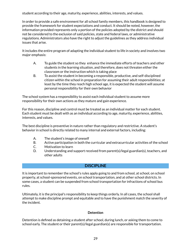student according to their age, maturity, experience, abilities, interests, and values.

In order to provide a safe environment for all school family members, this handbook is designed to provide the framework for student expectations and conduct. It should be noted, however, the information provided represents only a portion of the policies adopted by the district and should not be considered to the exclusion of said policies, state and federal laws, or administrative regulations. Administrators also have the right to adjust the guidelines as they address individual issues that arise.

It includes the entire program of adapting the individual student to life in society and involves two major emphasis:

- A. To guide the student so they enhance the immediate efforts of teachers and other students in the learning situation, and therefore, does not threaten either the classroom or the instruction which is taking place
- B. To assist the student in becoming a responsible, productive, and self-disciplined citizen within the school in preparation for assuming their adult responsibilities; at least by the time they reach high school age, it is expected the student will assume personal responsibility for their own behavior

The school system has a responsibility to assist each individual student to assume more responsibility for their own actions as they mature and gain experience.

For this reason, discipline and control must be treated as an individual matter for each student. Each student must be dealt with as an individual according to age, maturity, experience, abilities, interests, and values.

The best discipline is preventive in nature rather than regulatory and restrictive. A student's behavior in school is directly related to many internal and external factors, including:

- A. The student's image of oneself
- B. Active participation in both the curricular and extracurricular activities of the school
- C. Motivation to learn
- D. Understanding and support received from parent(s)/legal guardian(s), teachers, and other adults

# **DISCIPLINE**

<span id="page-29-0"></span>It is important to remember the school's rules apply going to and from school, at school, on school property, at school-sponsored events, on school transportation, and at other school districts. In some cases, a student can be suspended from school transportation for infractions of school bus rules.

Ultimately, it is the principal's responsibility to keep things orderly. In all cases, the school shall attempt to make discipline prompt and equitable and to have the punishment match the severity of the incident.

#### **Detention**

<span id="page-29-1"></span>Detention is defined as detaining a student after school, during lunch, or asking them to come to school early. The student or their parent(s)/legal guardian(s) are responsible for transportation.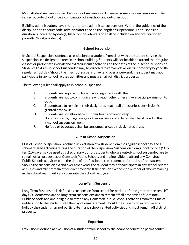Most student suspensions will be in-school suspensions. However, sometimes suspensions will be served out-of-school or be a combination of in-school and out-of-school.

Building administrators have the authority to administer suspensions. Within the guidelines of the discipline and conduct code, administrators decide the length of suspensions. The suspension duration is indicated by date(s) listed on the referral and shall be included on any notification to parent(s)/legal guardian(s).

## **In-School Suspension**

<span id="page-30-0"></span>In-School Suspension is defined as exclusion of a student from class with the student serving the suspension in a designated area in a school building. Students will not be able to attend their regular classes or participate in or attend extracurricular activities on the dates of the in-school suspension. Students that are in-school suspended may be directed to remain off all district property beyond the regular school day. Should the in-school suspension extend over a weekend, the student may not participate in any school related activities and must remain off district property.

The following rules shall apply to in-school suspension:

- A. Students are required to have class assignments with them
- B. Students are not to communicate with each other unless given special permission to do so
- C. Students are to remain in their designated seat at all times unless permission is granted otherwise
- D. Students are not allowed to put their heads down or sleep
- E. No radios, cards, magazines, or other recreational articles shall be allowed in the in-school suspension room
- F. No food or beverages shall be consumed, except in designated areas

#### **Out-of-School Suspension**

<span id="page-30-1"></span>Out-of-School Suspension is defined as exclusion of a student from the regular school day and all school related activities during the duration of the suspension. Suspension from school for one (1) to ten (10) days may be used as a disciplinary option. Students who are out-of-school suspended are to remain off all properties of Comstock Public Schools and are ineligible to attend any Comstock Public Schools activities from the time of notification to the student until the day of reinstatement. Should the suspension extend over a weekend, the student may not participate in any school related activities and must remain off district property. If suspension exceeds the number of days remaining in the school year it will carry over into the school next year.

#### **Long-Term Suspension**

<span id="page-30-2"></span>Long-Term Suspension is defined as suspension from school for periods of time greater than ten (10) days. Students who are on long-term suspensions are to remain off all properties of Comstock Public Schools and are ineligible to attend any Comstock Public Schools activities from the time of notification to the student until the day of reinstatement. Should the suspension extend over a holiday the student may not participate in any school related activities and must remain off district property.

#### **Expulsion**

<span id="page-30-3"></span>Expulsion is defined as exclusion of a student from school by the board of education permanently.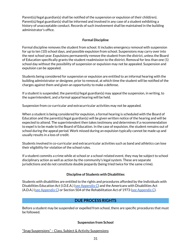Parent(s)/legal guardian(s) shall be notified of the suspension or expulsion of their child(ren). Parent(s)/legal guardian(s) shall be informed and involved in any case of a student exhibiting a history of unacceptable conduct. Records of such involvement shall be maintained in the building administrator's office.

### **Formal Discipline**

<span id="page-31-0"></span>Formal discipline removes the student from school. It includes emergency removal with suspension for up to ten (10) school days, and possible expulsion from school. Suspensions may carry over into the next school year. Expulsions permanently remove the student from the district, unless the Board of Education specifically grants the student readmission to the district. Removal for less than one (1) school day without the possibility of suspension or expulsion may not be appealed. Suspension and expulsion can be appealed.

Students being considered for suspension or expulsion are entitled to an informal hearing with the building administrator or designee, prior to removal, at which time the student will be notified of the charges against them and given an opportunity to make a defense.

If a student is suspended, the parent(s)/legal guardian(s) may appeal the suspension, in writing, to the superintendent, and a formal appeal hearing will be held.

Suspension from co-curricular and extracurricular activities may not be appealed.

When a student is being considered for expulsion, a formal hearing is scheduled with the Board of Education and the parent(s)/legal guardian(s) will be given written notice of the hearing and will be expected to attend. The superintendent then takes testimony and determines if a recommendation to expel is to be made to the Board of Education. In the case of expulsion, the student remains out of school during the appeal period. Work missed during an expulsion typically cannot be made up and usually results in a loss of credit.

Students involved in co-curricular and extracurricular activities such as band and athletics can lose their eligibility for violation of the school rules.

If a student commits a crime while at school or a school-related event, they may be subject to school disciplinary action as well as action by the community's legal system. These are separate jurisdictions and do not constitute double jeopardy (being tried twice for the same crime).

#### **Discipline of Students with Disabilities**

<span id="page-31-1"></span>Students with disabilities are entitled to the rights and procedures afforded by the Individuals with Disabilities Education Act (I.D.E.A.) (see [Appendix](#page-56-19) C) and the Americans with Disabilities Act (A.D.A.) (see [Appendix](#page-56-12) C) or Section 504 of the Rehabilitation Act of 1973 (see Appendix C).

# **DUE PROCESS RIGHTS**

<span id="page-31-2"></span>Before a student may be suspended or expelled from school, there are specific procedures that must be followed.

#### **Suspension from School**

<span id="page-31-3"></span>"Snap Suspensions" – Class, Subject & Activity Suspensions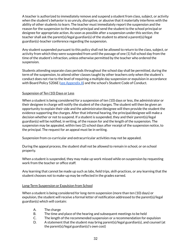A teacher is authorized to immediately remove and suspend a student from class, subject, or activity when the student's behavior is so unruly, disruptive, or abusive that it materially interferes with the ability of other students to learn. The teacher must immediately report the suspension and the reason for the suspension to the school principal and send the student to the school principal or designee for appropriate action. As soon as possible after a suspension under this section, the teacher shall ask the parent(s)/legal guardian(s) of the student to attend a parent(s)/legal guardian(s)-teacher conference regarding the suspension.

Any student suspended pursuant to this policy shall not be allowed to return to the class, subject, or activity from which they were suspended from until the passage of one (1) full school day from the time of the student's infraction, unless otherwise permitted by the teacher who ordered the suspension.

Students attending separate class periods throughout the school day shall be permitted, during the term of the suspension, to attend other classes taught by other teachers only when the student's conduct does not rise to the level of requiring a multiple day suspension or expulsion in accordance with Board Policy 5206E (see Appendix A) and the school's Student Code of Conduct.

#### Suspension of Ten (10) Days or Less

When a student is being considered for a suspension of ten (10) days or less, the administrator or their designee in charge will notify the student of the charges. The student will then be given an opportunity to explain their side and the administrator/designee will then provide the student the evidence supporting the charges. After that informal hearing, the principal/designee will make a decision whether or not to suspend. If a student is suspended, they and their parent(s)/legal guardian(s) will be notified, in writing, of the reason for and the length of the suspension. The suspension may be appealed, within two (2) school days after receipt of the suspension notice, to the principal. The request for an appeal must be in writing.

Suspension from co-curricular and extracurricular activities may not be appealed.

During the appeal process, the student shall not be allowed to remain in school, or on school property.

When a student is suspended, they may make up work missed while on suspension by requesting work from the teacher or office staff.

Any learning that cannot be made up such as labs, field trips, skill-practices, or any learning that the student chooses not to make-up may be reflected in the grades earned.

#### Long-Term Suspension or Expulsion from School

When a student is being considered for long-term suspension (more than ten (10) days) or expulsion, the student will receive a formal letter of notification addressed to the parent(s)/legal guardian(s) which will contain:

- A. The charge
- B. The time and place of the hearing and subsequent meetings to be held
- C. The length of the recommended suspension or a recommendation for expulsion
- D. A statement that the student may bring parent(s)/legal guardian(s), and counsel (at the parent(s)/legal guardian(s)'s own cost)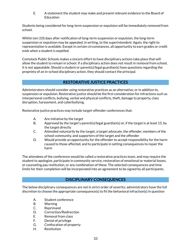E. A statement the student may make and present relevant evidence to the Board of Education

Students being considered for long-term suspension or expulsion will be immediately removed from school.

Within ten (10) days after notification of long-term suspension or expulsion, the long-term suspension or expulsion may be appealed, in writing, to the superintendent. Again, the right to representation is available. Except in certain circumstances, all opportunity to earn grades or credit ends when a student is expelled.

Comstock Public Schools makes a sincere effort to have disciplinary actions take place that will allow the student to remain in school. If a disciplinary action does not result in removal from school, it is not appealable. Should a student or parent(s)/legal guardian(s) have questions regarding the propriety of an in-school disciplinary action, they should contact the principal.

# **RESTORATIVE JUSTICE PRACTICES**

<span id="page-33-0"></span>Administrators should consider using restorative practices as an alternative, or in addition to, suspension or expulsion. Restorative justice should be the first consideration for infractions such as interpersonal conflicts, bullying, verbal and physical conflicts, theft, damage to property, class disruption, harassment, and cyberbullying.

Restorative justice practices may include target-offender conferences that:

- A. Are initiative by the target
- B. Approved by the target's parent(s)/legal guardian(s) or, if the target is at least 15, by the target directly
- C. Attended voluntarily by the target, a target advocate, the offender, members of the school community, and supporters of the target and the offender
- D. Would provide an opportunity for the offender to accept responsibility for the harm caused to those affected, and to participate in setting consequences to repair the harm

The attendees of the conference would be called a restorative practices team, and may require the student to apologize, participate in community service, restoration of emotional or material losses, or counseling pay restitution, or any combination of these. The selected consequences and time limits for their completion will be incorporated into an agreement to be signed by all participants.

# **DISCIPLINARY CONSEQUENCES**

<span id="page-33-1"></span>The below disciplinary consequences are not in strict order of severity; administrators have the full discretion to choose the appropriate consequence(s) to fit the behavioral infraction(s) in question

- A. Student conference
- B. Warning
- C. Reprimand
- D. Correction/Redirection
- E. Removal from class
- F. Denial of privilege
- G. Confiscation of property
- H. Restitution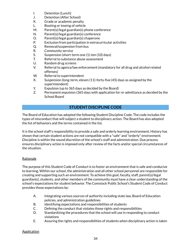- I. Detention (Lunch)
- J. Detention (After School)
- K. Grade or academic penalty
- L. Booting or towing of vehicle
- M. Parent(s)/legal guardian(s) phone conference
- N. Parent(s)/legal guardian(s) conference
- O. Parent(s)/legal guardian(s) chaperone
- P. Exclusion from participation in extracurricular activities
- Q. Removal/suspension from bus
- R. Community service
- S. Suspension (short-term one (1)-ten (10) days)
- T. Referral to substance abuse assessment
- U. Random drug screens
- V. Referral to agency/law enforcement (mandatory for all drug and alcohol related offenses)
- W. Referral to superintendent
- X. Suspension (long-term, eleven (11)-forty-five (45) days as assigned by the superintendent)
- Y. Expulsion (up to 365 days as decided by the Board)
- Z. Permanent expulsion (365 days with application for re-admittance as decided by the School Board

# **STUDENT DISCIPLINE CODE**

<span id="page-34-0"></span>The Board of Education has adopted the following Student Discipline Code. The code includes the types of misconduct that will subject a student to disciplinary action. The Board has also adopted the list of behaviors and the terms contained in the list.

It is the school staff's responsibility to provide a safe and orderly learning environment. History has shown that certain student actions are not compatible with a "safe" and "orderly" environment. Discipline is within the sound discretion of the school's staff and administration. Due process ensures disciplinary action is imposed only after review of the facts and/or special circumstances of the situation.

#### **Rationale**

The purpose of this Student Code of Conduct is to foster an environment that is safe and conducive to learning. Within our school, the administration and all other school personnel are responsible for creating and supporting such an environment. To achieve this goal, faculty, staff, parent(s)/legal guardian(s), students, and other members of the community must have a clear understanding of the school's expectations for student behavior. The Comstock Public School's Student Code of Conduct provides those expectations by:

- A. Integrating various sources of authority including state law, Board of Education policies, and administration guidelines
- B. Identifying expectations and responsibilities of students
- C. Defining the conduct that violates those rights and responsibilities
- D. Standardizing the procedures that the school will use in responding to conduct violations
- E. Assuring the rights and responsibilities of students when disciplinary action is taken

#### Application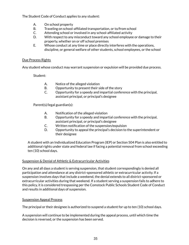The Student Code of Conduct applies to any student:

- A. On school property
- B. Traveling on school-affiliated transportation, or to/from school
- C. Attending school or involved in any school-affiliated activity
- D. With respect to any misconduct toward any school employee or damage to their property, whether on or off school premises
- E. Whose conduct at any time or place directly interferes with the operations, discipline, or general welfare of other students, school employees, or the school

#### Due Process Rights

Any student whose conduct may warrant suspension or expulsion will be provided due process.

Student:

- A. Notice of the alleged violation
- B. Opportunity to present their side of the story
- C. Opportunity for a speedy and impartial conference with the principal, assistant principal, or principal's designee

Parent(s)/legal guardian(s):

- A. Notification of the alleged violation
- B. Opportunity for a speedy and impartial conference with the principal, assistant principal, or principal's designee
- C. Written notification of the suspension/expulsion
- D. Opportunity to appeal the principal's decision to the superintendent or their designee

A student with an Individualized Education Program (IEP) or Section 504 Plan is also entitled to additional rights under state and federal law if facing a potential removal from school exceeding ten (10) school days.

#### Suspension & Denial of Athletic & Extracurricular Activities

On any and all days a student is serving suspension, that student correspondingly is denied all participation and attendance at any district-sponsored athletic or extracurricular activity. If a suspension involves days that include a weekend, the denial extends to all district-sponsored or extracurricular activities during that weekend. If a student serving a suspension fails to adhere to this policy, it is considered trespassing per the Comstock Public Schools Student Code of Conduct and results in additional days of suspension.

#### Suspension Appeal Process

The principal or their designee is authorized to suspend a student for up to ten (10) school days.

A suspension will continue to be implemented during the appeal process, until which time the decision is reversed, or the suspension has been served.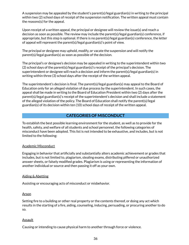A suspension may be appealed by the student's parent(s)/legal guardian(s) in writing to the principal within two (2) school days of receipt of the suspension notification. The written appeal must contain the reasons(s) for the appeal.

Upon receipt of a written appeal, the principal or designee will review the issue(s) and reach a decision as soon as possible. The review may include the parent(s)/legal guardian(s) conference, if appropriate, but this step is optional. If there is no parent(s)/legal guardian(s) conference, the letter of appeal will represent the parent(s)/legal guardian(s)'s point of view.

The principal or designee may uphold, modify, or vacate the suspension and will notify the parent(s)/legal guardian(s) as soon as possible of the decision.

The principal's or designee's decision may be appealed in writing to the superintendent within two (2) school days of the parent(s)/legal guardian(s)'s receipt of the principal's decision. The superintendent or designee will reach a decision and inform the parent(s)/legal guardian(s) in writing within three (3) school days after the receipt of the written appeal.

The superintendent's decision is final. The parent(s)/legal guardian(s) may appeal to the Board of Education only for an alleged violation of due process by the superintendent. In such cases, the appeal shall be made in writing to the Board of Education President within two (2) days after the parent(s)/legal guardian(s)'s receipt of the superintendent's decision and shall include a statement of the alleged violation of the policy. The Board of Education shall notify the parent(s)/legal guardian(s) of its decision within ten (10) school days of receipt of the written appeal.

# **CATEGORIES OF MISCONDUCT**

<span id="page-36-0"></span>To establish the best possible learning environment for the student, as well as to provide for the health, safety, and welfare of all students and school personnel, the following categories of misconduct have been adopted. This list is not intended to be exhaustive, and includes, but is not limited to the following:

#### Academic Misconduct

Engaging in behavior that artificially and substantially alters academic achievement or grades that includes, but is not limited to, plagiarism, stealing exams, distributing pilfered or unauthorized answer sheets, or falsely modified grades. Plagiarism is using or representing the information of another individual or source and then passing it off as your own.

#### Aiding & Abetting

Assisting or encouraging acts of misconduct or misbehavior.

#### Arson

Setting fire to a building or other real property or the contents thereof, or doing any act which results in the starting of a fire, aiding, counseling, inducing, persuading, or procuring another to do so.

#### Assault

Causing or intending to cause physical harm to another through force or violence.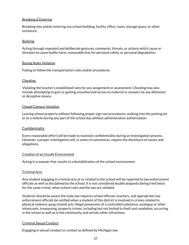#### Breaking & Entering

Breaking into and/or entering any school building, facility, office, room, storage space, or other enclosure.

#### Bullying

Acting through repeated and deliberate gestures, comments, threats, or actions which cause or threaten to cause bodily harm, reasonable fear for personal safety, or personal degradation.

#### Busing Rules Violation

Failing to follow the transportation rules and/or procedures.

#### Cheating

Violating the teacher's established rules for any assignment or assessment. Cheating may also include attempting to gain or gaining unauthorized access to material or answers by any dishonest or deceptive means.

#### Closed Campus Violation

Leaving school property without following proper sign-out procedures; walking into the parking lot or to a vehicle during any part of the school day without administrative authorization.

#### **Confidentiality**

Every reasonable effort will be made to maintain confidentiality during an investigation process. However, a proper investigation will, in some circumstances, require the disclosure of names and allegations.

#### Creation of an Unsafe Environment

Acting in a manner that results in a destabilization of the school environment.

#### Criminal Acts

Any student engaging in criminal acts at or related to the school will be reported to law enforcement officials as well as disciplined by the school. It is not considered double jeopardy (being tried twice for the same crime), when school rules and the law are violated.

Students should be aware the state law requires school officials, teachers, and appropriate law enforcement officials be notified when a student of this district is involved in crimes related to physical violence, gang related acts, illegal possession of a controlled substance, analogue or other intoxicants, trespassing, property crimes, including but not limited to theft and vandalism, occurring in the school as well as in the community, and certain other infractions.

#### Criminal Sexual Conduct

Engaging in sexual conduct or contact as defined by Michigan law.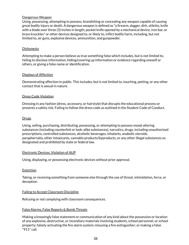#### Dangerous Weapon

Using, possessing, attempting to possess, brandishing or concealing any weapon capable of causing great bodily injury or death. A dangerous weapon is defined as "a firearm, dagger, dirk, stiletto, knife with a blade over three (3) inches in length, pocket knife opened by a mechanical device, iron bar, or brass knuckles" or other devices designed to, or likely to, inflict bodily harm, including, but not limited to, air guns, explosive devices, ammunition, and gunpowder.

#### **Dishonesty**

Attempting to make a person believe as true something false which includes, but is not limited to, failing to disclose information, hiding/covering up information or evidence regarding oneself or others, or giving a false name or identification.

#### Displays of Affection

Demonstrating affection in public. This includes, but is not limited to, touching, petting, or any other contact that is sexual in nature.

#### Dress Code Violation

Dressing in any fashion (dress, accessory, or hairstyle) that disrupts the educational process or presents a safety risk. Failing to follow the dress code as outlined in the Student Code of Conduct.

#### **Drugs**

Using, selling, purchasing, distributing, possessing, or attempting to possess mood-altering substances (including counterfeit or look-alike substances), narcotics, drugs, including unauthorized prescriptions, controlled substances, alcoholic beverages, inhalants, anabolic steroids, paraphernalia, other intoxicants, cannabis products/byproducts, or any other illegal substances so designated and prohibited by state or federal law.

#### Electronic Devices, Violation of AUP

Using, displaying, or possessing electronic devices without prior approval.

#### Extortion

Taking, or receiving something from someone else through the use of threat, intimidation, force, or deception.

#### Failing to Accept Classroom Discipline

Refusing or not complying with classroom consequences.

#### False Alarms, False Reports & Bomb Threats

Making a knowingly false statement or communication of any kind about the possession or location of any explosive, destructive, or incendiary materials involving students, school personnel, or school property; falsely activating the fire alarm system; misusing a fire extinguisher; or making a false "911" call.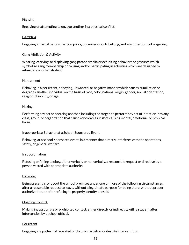#### **Fighting**

Engaging or attempting to engage another in a physical conflict.

#### **Gambling**

Engaging in casual betting, betting pools, organized-sports betting, and any other form of wagering.

#### Gang Affiliation & Activity

Wearing, carrying, or displaying gang paraphernalia or exhibiting behaviors or gestures which symbolize gang membership or causing and/or participating in activities which are designed to intimidate another student.

#### Harassment

Behaving in a persistent, annoying, unwanted, or negative manner which causes humiliation or degrades another individual on the basis of race, color, national origin, gender, sexual orientation, religion, disability, or age.

#### **Hazing**

Performing any act or coercing another, including the target, to perform any act of initiation into any class, group, or organization that causes or creates a risk of causing mental, emotional, or physical harm.

#### Inappropriate Behavior at a School-Sponsored Event

Behaving, at a school-sponsored event, in a manner that directly interferes with the operations, safety, or general welfare.

#### Insubordination

Refusing or failing to obey, either verbally or nonverbally, a reasonable request or directive by a person vested with appropriate authority.

#### **Loitering**

Being present in or about the school premises under one or more of the following circumstances, after a reasonable request to leave, without a legitimate purpose for being there, without proper authorization, or after refusing to properly identify oneself.

#### **Ongoing Conflict**

Making inappropriate or prohibited contact, either directly or indirectly, with a student after intervention by a school official.

#### **Persistent**

Engaging in a pattern of repeated or chronic misbehavior despite interventions.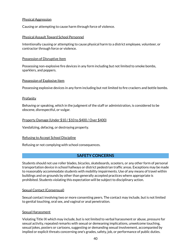#### Physical Aggression

Causing or attempting to cause harm through force of violence.

#### Physical Assault Toward School Personnel

Intentionally causing or attempting to cause physical harm to a district employee, volunteer, or contractor through force or violence.

#### Possession of Disruptive Item

Possessing non-explosive fire devices in any form including but not limited to smoke bombs, sparklers, and poppers.

#### Possession of Explosive Item

Possessing explosive devices in any form including but not limited to fire crackers and bottle bombs.

#### **Profanity**

Behaving or speaking, which in the judgment of the staff or administration, is considered to be obscene, disrespectful, or vulgar.

#### Property Damage (Under \$10 / \$10 to \$400 / Over \$400)

Vandalizing, defacing, or destroying property.

#### Refusing to Accept School Discipline

Refusing or not complying with school consequences.

#### **SAFETY CONCERNS**

<span id="page-40-0"></span>Students should not use roller blades, bicycles, skateboards, scooters, or any other form of personal transportation device in school hallways or district pedestrian traffic areas. Exceptions may be made to reasonably accommodate students with mobility impairments. Use of any means of travel within buildings and on grounds by other than generally accepted practices where appropriate is prohibited. Students violating this expectation will be subject to disciplinary action.

#### Sexual Contact (Consensual)

Sexual contact involving two or more consenting peers. The contact may include, but is not limited to genital touching, oral sex, and vaginal or anal penetration.

#### Sexual Harassment

Violating Title IX which may include, but is not limited to verbal harassment or abuse, pressure for sexual activity, repeated remarks with sexual or demeaning implications, unwelcome touching, sexual jokes, posters or cartoons, suggesting or demanding sexual involvement, accompanied by implied or explicit threats concerning one's grades, safety, job, or performance of public duties.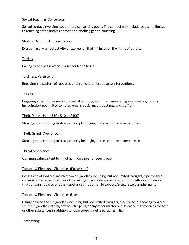#### Sexual Touching (Consensual)

Sexaul contact involving two or more consenting peers. The contact may include, but is not limited to touching of the breasts or over-the-clothing genital touching.

#### Student Disorder/Demonstration

Disrupting any school activity or expression that infringes on the rights of others.

#### Tardies

Failing to be in class when it is scheduled to begin.

#### Tardiness, Persistent

Engaging in a pattern of repeated or chronic tardiness despite interventions.

#### **Teasing**

Engaging in harmful or malicious verbal taunting, insulting, name calling, or spreading rumors, including but not limited to notes, emails, social media postings, and graffiti.

#### Theft, Petty (Under \$10 / \$10 to \$400)

Stealing or attempting to steal property belonging to the school or someone else.

#### Theft, Grand (Over \$400)

Stealing or attempting to steal property belonging to the school or someone else.

#### Threat of Violence

Communicating intent to inflict harm on a peer or peer group.

#### Tobacco & Electronic Cigarettes (Possession)

Possession of tobacco and electronic cigarettes including, but not limited to cigars, pipe tobacco, chewing tobacco, snuff, e-cigarettes, vaping devices, dab pens, or any other matter or substance that contains tobacco or other substances in addition to tobacco/e-cigarette paraphernalia.

#### Tobacco & Electronic Cigarettes (Use)

Using tobacco and e-cigarettes including, but not limited to cigars, pipe tobacco, chewing tobacco, snuff, e-cigarettes, vaping devices, dab pens, or any other matter or substance that contains tobacco or other substances in addition to tobacco/e-cigarette paraphernalia.

#### **Trespassing**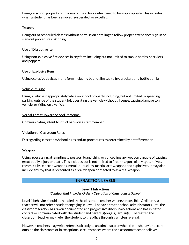Being on school property or in areas of the school determined to be inappropriate. This includes when a student has been removed, suspended, or expelled.

#### **Truancy**

Being out of scheduled classes without permission or failing to follow proper attendance sign-in or sign-out procedures: skipping.

#### Use of Disruptive Item

Using non-explosive fire devices in any form including but not limited to smoke bombs, sparklers, and poppers.

#### Use of Explosive Item

Using explosive devices in any form including but not limited to fire crackers and bottle bombs.

#### Vehicle, Misuse

Using a vehicle inappropriately while on school property including, but not limited to speeding, parking outside of the student lot, operating the vehicle without a license, causing damage to a vehicle, or riding on a vehicle.

#### Verbal Threat Toward School Personnel

Communicating intent to inflict harm on a staff member.

#### Violation of Classroom Rules

Disregarding classroom/school rules and/or procedures as determined by a staff member.

#### Weapon

Using, possessing, attempting to possess, brandishing or concealing any weapon capable of causing great bodily injury or death. This includes but is not limited to firearms, guns of any type, knives, razors, clubs, electric weapons, metallic knuckles, martial arts weapons and explosives. It may also include any toy that is presented as a real weapon or reacted to as a real weapon.

# **INFRACTION LEVELS**

#### **Level 1 Infractions** *(Conduct that Impedes Orderly Operation of Classroom or School)*

<span id="page-42-1"></span><span id="page-42-0"></span>Level 1 behavior should be handled by the classroom teacher whenever possible. Ordinarily, a teacher will not refer a student engaging in Level 1 behavior to the school administrators until the classroom teacher has taken documented and progressive disciplinary actions and has initiated contact or communicated with the student and parent(s)/legal guardian(s). Thereafter, the classroom teacher may refer the student to the office through a written referral.

However, teachers may write referrals directly to an administrator when the misbehavior occurs outside the classroom or in exceptional circumstances where the classroom teacher believes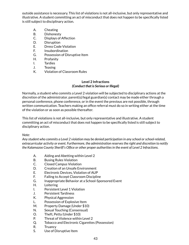outside assistance is necessary. This list of violations is not all-inclusive, but only representative and illustrative. A student committing an act of misconduct that does not happen to be specifically listed is still subject to disciplinary action.

- A. Cheating
- B. Dishonesty
- C. Displays of Affection
- D. Disruption
- E. Dress Code Violation
- F. Insubordination
- G. Possession of Disruptive Item
- H. Profanity
- I. Tardies
- J. Teasing
- K. Violation of Classroom Rules

#### **Level 2 Infractions** *(Conduct that is Serious or Illegal)*

<span id="page-43-1"></span><span id="page-43-0"></span>Normally, a student who commits a Level 2 violation will be subjected to disciplinary actions at the discretion of the administrator. parent(s)/legal guardian(s) contact may be made either through a personal conference, phone conference, or in the event the previous are not possible, through written communication. Teachers making an office referral must do so in writing either at the time of the violation or as soon as possible thereafter.

This list of violations is not all-inclusive, but only representative and illustrative. A student committing an act of misconduct that does not happen to be specifically listed is still subject to disciplinary action.

#### *Note:*

*Any student who commits a Level 2 violation may be denied participation in any school orschool-related, extracurricular activity or event. Furthermore, the administration reservesthe right and discretion to notify the Kalamazoo County Sheriff's Office or other proper authoritiesin the event of Level 2 Infractions.*

- A. Aiding and Abetting within Level 2
- B. Busing Rules Violation
- C. Closed Campus Violation
- D. Creation of an Unsafe Environment
- E. Electronic Devices, Violation of AUP
- F. Failing to Accept Classroom Discipline
- G. Inappropriate Behavior at a School-Sponsored Event
- H. Loitering
- I. Persistent Level 1 Violation
- J. Persistent Tardiness
- K. Physical Aggression
- L. Possession of Explosive Item
- M. Property Damage (Under \$10)
- N. Sexual Touching (Consensual)
- O. Theft, Petty (Under \$10)
- P. Threat of Violence within Level 2
- Q. Tobacco and Electronic Cigarettes (Possession)
- R. Truancy
- S. Use of Disruptive Item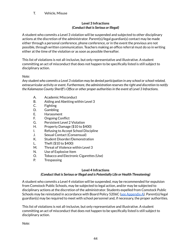T. Vehicle, Misuse

### **Level 3 Infractions** *(Conduct that is Serious or Illegal)*

<span id="page-44-1"></span><span id="page-44-0"></span>A student who commits a Level 3 violation will be suspended and subjected to other disciplinary actions at the discretion of the administrator. Parent(s)/legal guardian(s) contact may be made either through a personal conference, phone conference, or in the event the previous are not possible, through written communication. Teachers making an office referral must do so in writing either at the time of the violation or as soon as possible thereafter.

This list of violations is not all-inclusive, but only representative and illustrative. A student committing an act of misconduct that does not happen to be specifically listed is still subject to disciplinary action.

# *Note:*

*Any student who commits a Level 3 violation may be denied participation in any school orschool-related, extracurricular activity or event. Furthermore, the administration reservesthe right and discretion to notify the Kalamazoo County Sheriff's Office or other proper authoritiesin the event of Level 3 Infractions.*

- A. Academic Misconduct
- B. Aiding and Abetting within Level 3
- C. Fighting
- D. Gambling
- E. Harassment
- F. Ongoing Conflict
- G. Persistent Level 2 Violation
- H. Property Damage (\$10 to \$400)
- I. Refusing to Accept School Discipline
- J. Sexual Contact (Consensual)
- K. Student Disorder/Demonstration
- L. Theft (\$10 to \$400)
- M. Threat of Violence within Level 3
- N. Use of Explosive Item
- O. Tobacco and Electronic Cigarettes (Use)
- P. Trespassing

#### **Level 4 Infractions**

#### *(Conduct that is Serious or Illegal and is Potentially Life or Health Threatening)*

<span id="page-44-3"></span><span id="page-44-2"></span>A student who commits a Level 4 violation will be suspended, may be recommended for expulsion from Comstock Public Schools, may be subjected to legal action, and/or may be subjected to disciplinary actions at the discretion of the administrator. Students expelled from Comstock Public Schools may be reinstated in accordance with Board Policy 5206C (see [Appendix](#page-55-17) A). Parent(s)/legal guardian(s) may be required to meet with school personnel and, if necessary, the proper authorities.

This list of violations is not all-inclusive, but only representative and illustrative. A student committing an act of misconduct that does not happen to be specifically listed is still subject to disciplinary action.

*Note:*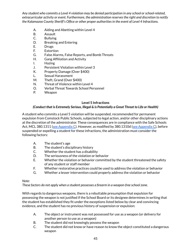*Any student who commits a Level 4 violation may be denied participation in any school orschool-related, extracurricular activity or event. Furthermore, the administration reservesthe right and discretion to notify the Kalamazoo County Sheriff's Office or other proper authoritiesin the event of Level 4 Infractions.*

- A. Aiding and Abetting within Level 4
- B. Assault
- C. Bullying
- D. Breaking and Entering
- E. Drugs
- F. Extortion
- G. False Alarms, False Reports, and Bomb Threats
- H. Gang Affiliation and Activity
- I. Hazing
- J. Persistent Violation within Level 3
- K. Property Damage (Over \$400)
- L. Sexual Harassment
- M. Theft, Grand (Over \$400)
- N. Threat of Violence within Level 4
- O. Verbal Threat Towards School Personnel
- P. Weapon

## **Level 5 Infractions**

## <span id="page-45-0"></span>*(Conduct that is Extremely Serious, Illegal & is Potentially a Great Threat to Life or Health)*

<span id="page-45-1"></span>A student who commits a Level 5 violation will be suspended, recommended for permanent expulsion from Comstock Public Schools, subjected to legal action, and/or other disciplinary actions at the discretion of the administrator. These consequences are in compliance with the Safe Schools Act, MCL 380.1311 (see [Appendix](#page-56-21) C). However, as modified by 380.1310d (see Appendix C), before suspended or expelling a student for these infractions, the administration must consider the following factors:

- A. The student's age
- B. The student's disciplinary history
- C. Whether the student has a disability
- D. The seriousness of the violation or behavior
- E. Whether the violation or behavior committed by the student threatened the safety of any student or staff member
- F. Whether restorative practices could be used to address the violation or behavior
- G. Whether a lesser intervention could properly address the violation or behavior

#### *Note:*

*These factors do not apply when a student possesses a firearm in a weapon-free school zone.*

With regards to dangerous weapons, there is a rebuttable presumption that expulsion for possessing the weapon is not justified if the School Board or its designee determines in writing that the student has established they fit under the exceptions listed below by clear and convincing evidence, and the student has no previous history of suspension or expulsion:

- A. The object or instrument was not possessed for use as a weapon (or delivery for another person to use as a weapon)
- B. The student did not knowingly possess the weapon
- C. The student did not know or have reason to know the object constituted a dangerous weapon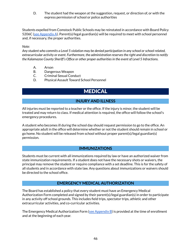D. The student had the weapon at the suggestion, request, or direction of, or with the express permission of school or police authorities

Students expelled from Comstock Public Schools may be reinstated in accordance with Board Policy 5206C (see [Appendix](#page-55-17) A). Parent(s)/legal guardian(s) will be required to meet with school personnel and, if necessary, the proper authorities.

#### *Note:*

*Any student who commits a Level 5 violation may be denied participation in any school orschool-related, extracurricular activity or event. Furthermore, the administration reservesthe right and discretion to notify the Kalamazoo County Sheriff's Office or other proper authoritiesin the event of Level 5 Infractions.*

- A. Arson
- B. Dangerous Weapon
- C. Criminal Sexual Conduct
- <span id="page-46-0"></span>D. Physical Assault Toward School Personnel

# MEDICAL

# **INJURY AND ILLNESS**

<span id="page-46-1"></span>All injuries must be reported to a teacher or the office. If the injury is minor, the student will be treated and may return to class. If medical attention is required, the office will follow the school's emergency procedures.

A student who becomes ill during the school day should request permission to go to the office. An appropriate adult in the office will determine whether or not the student should remain in school or go home. No student will be released from school without proper parent(s)/legal guardian(s) permission.

#### **IMMUNIZATIONS**

<span id="page-46-2"></span>Students must be current with all immunizations required by law or have an authorized waiver from state immunization requirements. If a student does not have the necessary shots or waivers, the principal may remove the student or require compliance with a set deadline. This is for the safety of all students and in accordance with state law. Any questions about immunizations or waivers should be directed to the school office.

#### **EMERGENCY MEDICAL AUTHORIZATION**

<span id="page-46-3"></span>The Board has established a policy that every student must have an Emergency Medical Authorization Form completed and signed by their parent(s)/legal guardian(s) in order to participate in any activity off school grounds. This includes field trips, spectator trips, athletic and other extracurricular activities, and co-curricular activities.

The Emergency Medical Authorization Form (see [Appendix](#page-55-18) B) is provided at the time of enrollment and at the beginning of each year.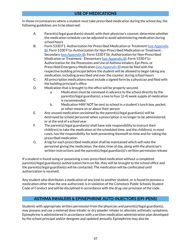# **USE OF MEDICATIONS**

<span id="page-47-0"></span>In those circumstances where a student must take prescribed medication during the school day, the following guidelines are to be observed:

- A. Parent(s)/legal guardian(s) should, with their physician's counsel, determine whether the medication schedule can be adjusted to avoid administering medication during school hours
- B. Form 5330 F1: Authorization for Prescribed Medication or Treatment (see [Appendix](#page-55-19) [B](#page-55-19)), Form 5330 F1a: Authorization for Non-Prescribed Medication or Treatment - Secondary (see [Appendix](#page-55-20) B), Form 5330 F1b: Authorization for Non-Prescribed Medication or Treatment - Elementary (see [Appendix](#page-55-21) B), Form 5330 F1c: Authorization for the Possession and Use of Asthma Inhalers, Epi-Pens, or Prescribed Emergency Medication (see [Appendix](#page-55-22) B) must be filed with the respective building principal before the student will be allowed to begin taking any medication, including prescribed and over the counter, during school hours
- C. All prescription medications must include a signed form by a physician and filed with the building principal's office
- D. Medication that is brought to the office will be properly secured
	- a. Medication must be conveyed in advance to the school directly by the parent(s)/legal guardian(s); a two to four (2-4) week supply of medication is recommended
	- b. Medication MAY NOT be sent to school in a student's lunch box, pocket, or other means on or about their person
- E. Any unused medication unclaimed by the parent(s)/legal guardian(s) will be destroyed by school personnel when a prescription is no longer to be administered, or at the end of a school year
- F. The parent(s)/legal guardian(s) shall have sole responsibility to instruct their child(ren) to take the medication at the scheduled time, and the child(ren), in most cases, has the responsibility for both presenting themself on time and for taking the prescribed medication
- G. A log for each prescribed medication shall be maintained which will note the personnel giving the medication, the date, time of day, along with the physician's written instructions and the parent(s)/legal guardian(s)'s written permission release

If a student is found using or possessing a non-prescribed medication without a completed parent(s)/legal guardian(s) authorization form on file, they will be brought to the school office and the parent(s)/legal guardian(s) will be contacted. The medication will be confiscated until authorization is received.

Any student who distributes a medication of any kind to another student, or is found to possess a medication other than the one authorized, is in violation of the Comstock Public Schools Student Code of Conduct and will be disciplined in accordance with the drug-use provision of the code.

# **ASTHMA INHALERS & EPINEPHRINE AUTO-INJECTORS (EPI-PENS)**

<span id="page-47-1"></span>Students with appropriate written permission from the physician and parent(s)/legal guardian(s), may possess and use a metered dose inhaler or dry powder inhaler to alleviate asthmatic symptoms. Epinephrine is administered in accordance with a written medication administration plan developed by the school principal and/or designee and updated annually. Epinephrine may also be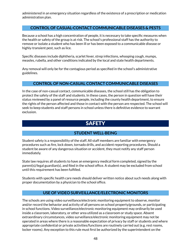administered in an emergency situation regardless of the existence of a prescription or medication administration plan.

# <span id="page-48-0"></span>**CONTROL OF CASUAL-CONTACT COMMUNICABLE DISEASES & PESTS**

Because a school has a high concentration of people, it is necessary to take specific measures when the health or safety of the group is at risk. The school's professional staff has the authority to remove or isolate a student who has been ill or has been exposed to a communicable disease or highly-transient pest, such as lice.

Specific diseases include diphtheria, scarlet fever, strep infections, whooping cough, mumps, measles, rubella, and other conditions indicated by the local and state health departments.

Any removal will only be for the contagious period as specified in the school's administrative guidelines.

# **CONTROL OF NON-CASUAL CONTACT COMMUNICABLE DISEASES**

<span id="page-48-1"></span>In the case of non-casual contact, communicable diseases, the school still has the obligation to protect the safety of the staff and students. In these cases, the person in question will have their status reviewed by a panel of resource people, including the county health department, to ensure the rights of the person affected and those in contact with the person are respected. The school will seek to keep students and staff persons in school unless there is definitive evidence to warrant exclusion.

# **SAFETY**

# **STUDENT WELL-BEING**

<span id="page-48-3"></span><span id="page-48-2"></span>Student safety is a responsibility of the staff. All staff members are familiar with emergency procedures such as fire, lock down, tornado drills, and accident reporting procedures. Should a student be aware of any dangerous situation or accident, they must notify any staff person immediately.

State law requires all students to have an emergency medical form completed, signed by the parent(s)/legal guardian(s), and filed in the school office. A student may be excluded from school until this requirement has been fulfilled.

Students with specific health care needs should deliver written notice about such needs along with proper documentation by a physician to the school office.

# **USE OF VIDEO SURVEILLANCE/ELECTRONIC MONITORS**

<span id="page-48-4"></span>The schools are using video surveillance/electronic monitoring equipment to observe, monitor and/or record the behavior and activity of all persons on school property/grounds, or participating in school functions. Video surveillance/electronic monitoring equipment may ordinarily be used inside a classroom, laboratory, or other area utilized as a classroom or study space. Absent extraordinary circumstances, video surveillance/electronic monitoring equipment may not be operated in areas where there is a reasonable expectation of privacy by staff or students and where appropriate confidential or private activities/functions are routinely carried out (e.g. rest rooms, locker rooms). Any exception to this rule must first be authorized by the superintendent on the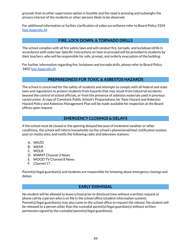grounds that no other supervision option is feasible and the need is pressing and outweighs the privacy interest of the students or other persons likely to be observed.

For additional information or further clarification of video surveillance refer to Board Policy 3104 (see [Appendix](#page-55-23) A).

# **FIRE, LOCK DOWN, & TORNADO DRILLS**

<span id="page-49-0"></span>The school complies with all fire safety laws and will conduct fire, tornado, and lockdown drills in accordance with state law. Specific instructions on how to proceed will be provided to students by their teachers, who will be responsible for safe, prompt, and orderly evacuation of the building.

For further information regarding fire, lockdown and tornado drills, please refer to Board Polic[y](http://go.boarddocs.com/mi/comstock/Board.nsf/goto?open&id=B7JKA84EF963) 3402 (see [Appendix](#page-55-24) A).

# **PREPAREDNESS FOR TOXIC & ASBESTOS HAZARDS**

<span id="page-49-1"></span>The school is concerned for the safety of students and attempts to comply with all federal and state laws and regulations to protect students from hazards that may result from industrial accidents beyond the control of school officials, or from the presence of asbestos materials used in previous construction. A copy of Comstock Public School's Preparedness for Toxic Hazard and Asbestos Hazard Policy and Asbestos Management Plan will be made available for inspection at the Board offices upon request.

# **EMERGENCY CLOSINGS & DELAYS**

<span id="page-49-2"></span>If the school must be closed or the opening delayed because of inclement weather or other conditions, the school will inform households via the school's phone/email/text notification system, post on media sites, and notify the following radio and television stations:

- A. WKZO
- B. WKMI
- C. WQLR
- D. WWMT Channel 3 News
- E. WOOD TV Channel 8 News
- F. Channel 17

Parent(s)/legal guardian(s) and students are responsible for knowing about emergency closings and delays.

# **EARLY DISMISSAL**

<span id="page-49-3"></span>No student will be allowed to leave school prior to dismissal time without a written request or phone call by a person who is on file in the school office (student information system). Parent(s)/legal guardian(s) may also come to the school office to request the release. No student will be released to a person other than the custodial parent(s)/legal guardian(s) without written permission signed by the custodial parent(s)/legal guardian(s).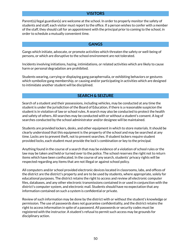### **VISITORS**

<span id="page-50-0"></span>Parent(s)/legal guardian(s) are welcome at the school. In order to properly monitor the safety of students and staff, each visitor must report to the office. If a person wishes to confer with a member of the staff, they should call for an appointment with the principal prior to coming to the school, in order to schedule a mutually convenient time.

#### **GANGS**

<span id="page-50-1"></span>Gangs which initiate, advocate, or promote activities which threaten the safety or well-being of persons, or which are disruptive to the school environment are not tolerated.

Incidents involving initiations, hazing, intimidations, or related activities which are likely to cause harm or personal degradation are prohibited.

Students wearing, carrying or displaying gang paraphernalia, or exhibiting behaviors or gestures which symbolize gang membership, or causing and/or participating in activities which are designed to intimidate another student will be disciplined.

## **SEARCH & SEIZURE**

<span id="page-50-2"></span>Search of a student and their possessions, including vehicles, may be conducted at any time the student is under the jurisdiction of the Board of Education, if there is a reasonable suspicion the student is in violation of law or school rules. A search may also be conducted to protect the health and safety of others. All searches may be conducted with or without a student's consent. A log of searches conducted by the school administrator and/or designee will be maintained.

Students are provided lockers, desks, and other equipment in which to store materials. It should be clearly understood that this equipment is the property of the school and may be searched at any time. Locks are to prevent theft, not to prevent searches. If student lockers require student provided locks, each student must provide the lock's combination or key to the principal.

Anything found in the course of a search that may be evidence of a violation of school rules or the law may be taken and held or turned over to the police. The school reserves the right not to return items which have been confiscated. In the course of any search, students' privacy rights will be respected regarding any items that are not illegal or against school policy.

All computers and/or school provided electronic devices located in classrooms, labs, and offices of the district are the district's property and are to be used by students, where appropriate, solely for educational purposes. The district retains the right to access and review all electronic computer files, databases, and any other electronic transmissions contained in or used in conjunction with the district's computer system, and electronic mail. Students should have no expectation that any information contained on such a system is confidential or private.

Review of such information may be done by the district with or without the student's knowledge or permission. The use of passwords does not guarantee confidentiality, and the district retains the right to access information in spite of a password. All passwords or security codes must be registered with the instructor. A student's refusal to permit such access may be grounds for disciplinary action.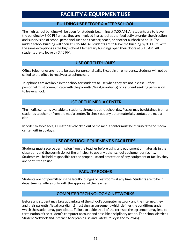# FACILITY & EQUIPMENT USE

# **BUILDING USE BEFORE & AFTER SCHOOL**

<span id="page-51-1"></span><span id="page-51-0"></span>The high school building will be open for students beginning at 7:00 AM. All students are to leave the building by 3:00 PM unless they are involved in a school authorized activity under the direction and supervision of school personnel such as a teacher, coach, or another authorized adult. The middle school building will open at 7:15 AM. All students are to leave the building by 3:00 PM, with the same exceptions as the high school. Elementary buildings open their doors at 8:15 AM. All students are to leave by 3:45 PM.

# **USE OF TELEPHONES**

<span id="page-51-2"></span>Office telephones are not to be used for personal calls. Except in an emergency, students will not be called to the office to receive a telephone call.

Telephones are available in the school for students to use when they are not in class. Office personnel must communicate with the parent(s)/legal guardian(s) of a student seeking permission to leave school.

# **USE OF THE MEDIA CENTER**

<span id="page-51-3"></span>The media center is available to students throughout the school day. Passes may be obtained from a student's teacher or from the media center. To check out any other materials, contact the media clerk.

In order to avoid fees, all materials checked out of the media center must be returned to the media center within 30 days.

# **USE OF SCHOOL EQUIPMENT & FACILITIES**

<span id="page-51-4"></span>Students must receive permission from the teacher before using any equipment or materials in the classroom, and the permission of the principal to use any other school equipment or facility. Students will be held responsible for the proper use and protection of any equipment or facility they are permitted to use.

# **FACULTY ROOMS**

<span id="page-51-5"></span>Students are not permitted in the faculty lounges or rest rooms at any time. Students are to be in departmental offices only with the approval of the teacher.

# **COMPUTER TECHNOLOGY & NETWORKS**

<span id="page-51-6"></span>Before any student may take advantage of the school's computer network and the internet, they and their parent(s)/legal guardian(s) must sign an agreement which defines the conditions under which the student may participate. Failure to abide by all of the terms of the agreement may lead to termination of the student's computer account and possible disciplinary action. The school district's Student Network and Internet Acceptable Use and Safety Policy is the following: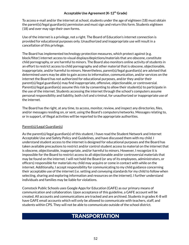#### **Acceptable Use Agreement(K-12 th Grade)**

<span id="page-52-0"></span>To access e-mail and/or the internet at school, students under the age of eighteen (18) must obtain the parent(s)/legal guardian(s) permission and must sign and return this form. Students eighteen (18) and over may sign their own forms.

Use of the internet is a privilege, not a right. The Board of Education's internet connection is provided for educational purposes only. Unauthorized and inappropriate use will result in a cancellation of this privilege.

The Board has implemented technology protection measures, which protect against (e.g. block/filter) internet access to visual displays/depictions/materials that are obscene, constitute child pornography, or are harmful to minors. The Board also monitors online activity of students in an effort to restrict access to child pornography and other material that is obscene, objectionable, inappropriate, and/or harmful to minors. Nevertheless, parent(s)/legal guardian(s) are advised that determined users may be able to gain access to information, communication, and/or services on the internet the Board has not authorized for educational purposes, and/or they and/or their parent(s)/legal guardian(s) may find inappropriate, offensive, objectionable, or controversial. Parent(s)/legal guardian(s) assume this risk by consenting to allow their student(s) to participate in the use of the internet. Students accessing the internet through the school's computers assume personal responsibility and liability, both civil and criminal, for unauthorized or inappropriate use of the internet.

The Board has the right, at any time, to access, monitor, review, and inspect any directories, files, and/or messages residing on, or sent, using the Board's computers/networks. Messages relating to, or in support, of illegal activities will be reported to the appropriate authorities.

#### Parent(s)/Legal Guardian(s)

As the parent(s)/legal guardian(s) of this student, I have read the Student Network and Internet Acceptable Use and Safety Policy and Guidelines, and have discussed them with my child. I understand student access to the internet is designed for educational purposes and the Board has taken available precautions to restrict and/or control student access to material on the internet that is obscene, objectionable, inappropriate, and/or harmful to minors. However, I recognize it is impossible for the Board to restrict access to all objectionable and/or controversial materials that may be found on the internet. I will not hold the Board (or any of its employees, administrators, or officers) responsible for materials my child may acquire or come in contact with while on the internet. Additionally, I accept responsibility for communicating to my child guidance concerning their acceptable use of the internet (i.e. setting and conveying standards for my child to follow when selecting, sharing and exploring information and resources on the internet). I further understand individuals and families may be liable for violations.

<span id="page-52-1"></span>Comstock Public Schools uses Google Apps for Education (GAFE) as our primary means of communication and collaboration. Upon acceptance of this guideline, a GAFE account will be created. All accounts and communications are tracked and are archived. Students in grades K-8 will have GAFE email accounts which will only be allowed to communicate with teachers, staff, and students within CPS. They will not be able to communicate outside of the school district.

# **TRANSPORTATION**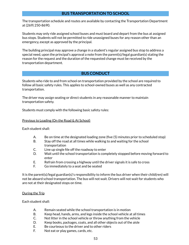# **BUS TRANSPORTATION TO SCHOOL**

<span id="page-53-0"></span>The transportation schedule and routes are available by contacting the Transportation Department at (269) 250-8690.

Students may only ride assigned school buses and must board and depart from the bus at assigned bus stops. Students will not be permitted to ride unassigned buses for any reason other than an emergency, except as approved by the principal.

The building principal may approve a change in a student's regular assigned bus stop to address a special need, upon the principal's approval a note from the parent(s)/legal guardian(s) stating the reason for the request and the duration of the requested change must be received by the transportation department.

# **BUS CONDUCT**

<span id="page-53-1"></span>Students who ride to and from school on transportation provided by the school are required to follow all basic safety rules. This applies to school-owned buses as well as any contracted transportation.

The driver may assign seating or direct students in any reasonable manner to maintain transportation safety.

Students must comply with the following basic safety rules:

#### Previous to Loading (On the Road & At School)

Each student shall:

- A. Be on time at the designated loading zone (five (5) minutes prior to scheduled stop)
- B. Stay off the road at all times while walking to and waiting for the school transportation
- C. Line up single file off the roadway to enter
- D. Wait until the school transportation is completely stopped before moving forward to enter
- E. Refrain from crossing a highway until the driver signals it is safe to cross
- F. Go immediately to a seat and be seated

It is the parent(s)/legal guardian(s)'s responsibility to inform the bus driver when their child(ren) will not be aboard school transportation. The bus will not wait. Drivers will not wait for students who are not at their designated stops on time.

#### During the Trip

Each student shall:

- A. Remain seated while the school transportation is in motion
- B. Keep head, hands, arms, and legs inside the school vehicle at all times
- C. Not litter in the school vehicle or throw anything from the vehicle
- D. Keep books, packages, coats, and all other objects out of the aisle
- E. Be courteous to the driver and to other riders
- F. Not eat or play games, cards, etc.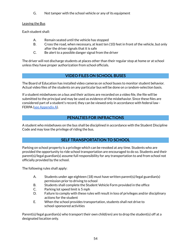G. Not tamper with the school vehicle or any of its equipment

# Leaving the Bus

Each student shall:

- A. Remain seated until the vehicle has stopped
- B. Cross the road, when necessary, at least ten (10) feet in front of the vehicle, but only after the driver signals that it is safe
- C. Be alert to a possible danger signal from the driver

The driver will not discharge students at places other than their regular stop at home or at school unless they have proper authorization from school officials.

# **VIDEO FILES ON SCHOOL BUSES**

<span id="page-54-0"></span>The Board of Education has installed video cameras on school buses to monitor student behavior. Actual video files of the students on any particular bus will be done on a random-selection basis.

If a student misbehaves on a bus and their actions are recorded on a video file, the file will be submitted to the principal and may be used as evidence of the misbehavior. Since these files are considered part of a student's record, they can be viewed only in accordance with federal law - FERPA (see [Appendix](#page-55-8) A).

# **PENALTIES FOR INFRACTIONS**

<span id="page-54-1"></span>A student who misbehaves on the bus shall be disciplined in accordance with the Student Discipline Code and may lose the privilege of riding the bus.

# **SELF TRANSPORTATION TO SCHOOL**

<span id="page-54-2"></span>Parking on school property is a privilege which can be revoked at any time. Students who are provided the opportunity to ride school transportation are encouraged to do so. Students and their parent(s)/legal guardian(s) assume full responsibility for any transportation to and from school not officially provided by the school.

The following rules shall apply:

- A. Students under age eighteen (18) must have written parent(s)/legal guardian(s) permission prior to driving to school
- B. Students shall complete the Student Vehicle Form provided in the office
- C. Parking lot speed limit is 5 mph
- D. Failure to comply with these rules will result in loss of privileges and/or disciplinary actions for the student
- E. When the school provides transportation, students shall not drive to school-sponsored activities

Parent(s)/legal guardian(s) who transport their own child(ren) are to drop the student(s) off at a designated location only.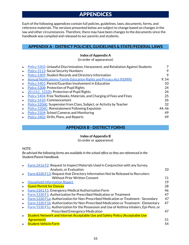# **APPENDICES**

<span id="page-55-0"></span>Each of the following appendices contain full policies, guidelines, laws, documents, forms, and reference materials. The versions presented below are subject to change based on changes in the law and other circumstances. Therefore, there may have been changes to the documents since the handbook was compiled and released to our parents and students.

# <span id="page-55-2"></span><span id="page-55-1"></span>**APPENDIX A - DISTRICT POLICIES, GUIDELINES & STATE/FEDERAL LAWS**

#### **Index of Appendix A**

(in order of appearance)

<span id="page-55-16"></span><span id="page-55-15"></span><span id="page-55-14"></span><span id="page-55-10"></span><span id="page-55-9"></span><span id="page-55-8"></span><span id="page-55-7"></span><span id="page-55-6"></span><span id="page-55-3"></span>

|           | Policy 5202: Unlawful Discrimination, Harassment, and Retaliation Against Students |        |
|-----------|------------------------------------------------------------------------------------|--------|
| $\bullet$ | <b>Policy 3113: Social Security Numbers</b>                                        | 9      |
|           | Policy 5309: Student Records and Directory Information                             | 9      |
|           | <b>Annual Notifications: Family Education Rights and Privacy Act (FERPA)</b>       | 9,54   |
| $\bullet$ | Policy 5401: Parent/Guardian Involvement in Education                              | 10     |
| $\bullet$ | <b>Policy 5308: Protection of Pupil Rights</b>                                     | 24     |
| $\bullet$ | 20 U.S.C. 1232h: Protection of Pupil Rights                                        | 24     |
|           | <b>Policy 5404: Free Textbooks, Materials, and Charging of Fees and Fines</b>      | 25     |
| $\bullet$ | Policy 5410: Commencement                                                          | 26     |
| $\bullet$ | <b>Policy 5206E:</b> Suspension from Class, Subject, or Activity by Teacher        | 32     |
| $\bullet$ | Policy 5206C: Reinstatement Following Expulsion                                    | 44, 46 |
| $\bullet$ | <b>Policy 3104: School Cameras and Monitoring</b>                                  | 49     |
| $\bullet$ | Policy 3402: Drills, Plans, and Reports                                            | 49     |

# **APPENDIX B - DISTRICT FORMS**

#### **Index of Appendix B**

(in order or appearance)

<span id="page-55-24"></span><span id="page-55-23"></span><span id="page-55-17"></span><span id="page-55-5"></span><span id="page-55-4"></span>*NOTE:*

*Be advised the following forms are available in the school office asthey are referenced in the Student/Parent Handbook.*

<span id="page-55-22"></span><span id="page-55-21"></span><span id="page-55-20"></span><span id="page-55-19"></span><span id="page-55-18"></span><span id="page-55-13"></span><span id="page-55-12"></span><span id="page-55-11"></span>

|           | Form 2416 F2: Request to Inspect Materials Used in Conjunction with any Survey,          |    |
|-----------|------------------------------------------------------------------------------------------|----|
|           | Analysis, or Evaluation                                                                  | 10 |
|           | Form 8330 F13: Request that Directory Information Not be Released to Recruiters          |    |
|           | <b>Without Prior Written Consent</b>                                                     | 11 |
|           | <b>Household Information Report</b>                                                      | 19 |
|           | <b>Guest Permit for Dances</b>                                                           | 28 |
|           | <b>Form 5341 F1: Emergency Medical Authorization Form</b>                                | 46 |
|           | Form 5330 F1: Authorization for Prescribed Medication or Treatment                       | 47 |
|           | Form 5330 F1a: Authorization for Non-Prescribed Medication or Treatment - Secondary      | 47 |
|           | Form 5330 F1b: Authorization for Non-Prescribed Medication or Treatment - Elementary     | 47 |
|           | Form 5330 F1c: Authorization for the Possession and Use of Asthma Inhalers, Epi-Pens, or |    |
|           | <b>Prescribed Emergency Medication</b>                                                   | 47 |
| $\bullet$ | Student Network and Internet Acceptable Use and Safety Policy (Acceptable Use            |    |
|           | <b>Agreement</b> )                                                                       | 51 |
|           | <b>Student Vehicle Form</b>                                                              | 54 |
|           |                                                                                          |    |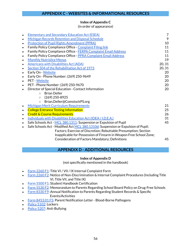# **Index of Appendix C**

(in order of appearance)

<span id="page-56-17"></span><span id="page-56-16"></span><span id="page-56-15"></span><span id="page-56-14"></span><span id="page-56-13"></span><span id="page-56-12"></span><span id="page-56-11"></span><span id="page-56-10"></span><span id="page-56-9"></span><span id="page-56-8"></span><span id="page-56-7"></span><span id="page-56-6"></span><span id="page-56-5"></span><span id="page-56-4"></span><span id="page-56-1"></span><span id="page-56-0"></span>

| $\bullet$ | <b>Elementary and Secondary Education Act (ESEA)</b>                             | 7      |
|-----------|----------------------------------------------------------------------------------|--------|
| $\bullet$ | <b>Michigan Records Retention and Disposal Schedule</b>                          | 9      |
| $\bullet$ | <b>Protection of Pupil Rights Amendment (PPRA)</b>                               | 10     |
| $\bullet$ | Family Policy Compliance Office - Complaint Filing link                          | 11     |
| $\bullet$ | Family Policy Compliance Office - FERPA Complaint Email Address                  | 11     |
| $\bullet$ | Family Policy Compliance Office - PPRA Complaint Email Address                   | 11     |
| $\bullet$ | <b>Monthly Nutrislice Menus</b>                                                  | 19     |
| $\bullet$ | <b>Americans with Disabilities Act (ADA)</b>                                     | 20, 31 |
| $\bullet$ | Section 504 of the Rehabilitation Act of 1973                                    | 20, 31 |
| $\bullet$ | Early On - Website                                                               | 20     |
| $\bullet$ | Early On - Phone Number: (269) 250-9649                                          | 20     |
| $\bullet$ | <b>PET</b> - Website                                                             | 20     |
| $\bullet$ | PET - Phone Number: (269) 250-9670                                               | 20     |
| $\bullet$ | Director of Special Education - Contact Information                              | 20     |
|           | <b>Brian Deller</b><br>$\Omega$                                                  |        |
|           | $(269)$ 250-8925<br>$\circ$                                                      |        |
|           | Brian.Deller@ComstockPS.org<br>$\circ$                                           |        |
| $\bullet$ | <b>Michigan Merit Curriculum Requirements</b>                                    | 21     |
| $\bullet$ | <b>College Entrance Testing Information</b>                                      | 25     |
| $\bullet$ | <b>Credit &amp; Course Requirements</b>                                          | 26     |
| $\bullet$ | Individuals with Disabilities Education Act (IDEA / I.D.E.A.)                    | 31     |
| $\bullet$ | Safe Schools Act - MCL 380.1311: Suspension or Expulsion of Pupil                | 45     |
|           | Safe Schools Act - Modified Act MCL 380.1310d: Suspension or Expulsion of Pupil; |        |
|           | Factors; Exercise of Discretion; Rebuttable Presumption; Section                 |        |
|           | Inapplicable for Possession of Firearm in Weapon Free School Zone;               |        |
|           | Consideration of Factors Mandatory; Definitions                                  | 45     |
|           |                                                                                  |        |

# <span id="page-56-21"></span><span id="page-56-20"></span><span id="page-56-19"></span><span id="page-56-18"></span>**APPENDIX D - ADDITIONAL RESOURCES**

#### **Index of Appendix D**

(not specifically mentioned in the handbook)

- <span id="page-56-3"></span><span id="page-56-2"></span>Form [2260](https://files.neola.com/comstock-mi/search/forms/fm2260F1.pdf) F1: Title VI / VII / IX Internal Complaint Form
- Form [2260](https://files.neola.com/comstock-mi/search/forms/fm2260F2.pdf) F2: Notice of Non-Discrimination & Internal Complaint Procedures (Including Title VI, Title VII, and Title IX)
- Form [5500](https://files.neola.com/comstock-mi/search/forms/fm5500F1.pdf) F1: Student Handbook Certification
- Form [5530](https://files.neola.com/comstock-mi/search/forms/fm5530F2.pdf) F2: Memorandum to Parents Regarding School Board Policy on Drug-Free Schools
- Form [8330](https://files.neola.com/comstock-mi/search/forms/fm8330F9.pdf) F9: Annual Notification to Parents Regarding Student Records & Specific Events/Activities
- Form [8453.01](https://files.neola.com/comstock-mi/search/forms/fm8453.01F5.pdf) F5: Parent Notification Letter Blood-Borne Pathogens
- [Policy](https://meetings.boardbook.org/Public/Book/1037?docTypeId=97109&file=8eba14cb-31ac-4593-af88-7473d700b6b0) 5102: Lockers
- [Policy](https://meetings.boardbook.org/Public/Book/1037?docTypeId=97109&file=8eba14cb-31ac-4593-af88-7473d700b6b0) 5207: Anti-Bullying